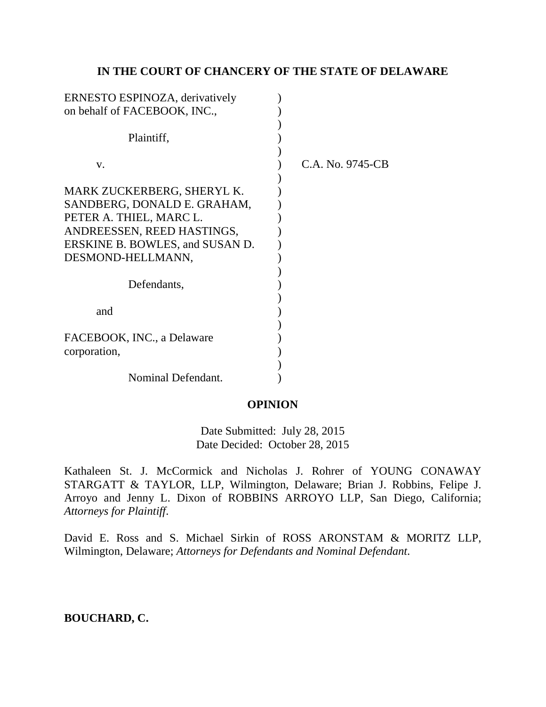## **IN THE COURT OF CHANCERY OF THE STATE OF DELAWARE**

| ERNESTO ESPINOZA, derivatively                                                                                                                                             |                  |
|----------------------------------------------------------------------------------------------------------------------------------------------------------------------------|------------------|
| on behalf of FACEBOOK, INC.,                                                                                                                                               |                  |
| Plaintiff,                                                                                                                                                                 |                  |
| V.                                                                                                                                                                         | C.A. No. 9745-CB |
| MARK ZUCKERBERG, SHERYL K.<br>SANDBERG, DONALD E. GRAHAM,<br>PETER A. THIEL, MARC L.<br>ANDREESSEN, REED HASTINGS,<br>ERSKINE B. BOWLES, and SUSAN D.<br>DESMOND-HELLMANN, |                  |
| Defendants,                                                                                                                                                                |                  |
| and                                                                                                                                                                        |                  |
| FACEBOOK, INC., a Delaware<br>corporation,                                                                                                                                 |                  |
| Nominal Defendant.                                                                                                                                                         |                  |

# **OPINION**

Date Submitted: July 28, 2015 Date Decided: October 28, 2015

Kathaleen St. J. McCormick and Nicholas J. Rohrer of YOUNG CONAWAY STARGATT & TAYLOR, LLP, Wilmington, Delaware; Brian J. Robbins, Felipe J. Arroyo and Jenny L. Dixon of ROBBINS ARROYO LLP, San Diego, California; *Attorneys for Plaintiff*.

David E. Ross and S. Michael Sirkin of ROSS ARONSTAM & MORITZ LLP, Wilmington, Delaware; *Attorneys for Defendants and Nominal Defendant*.

**BOUCHARD, C.**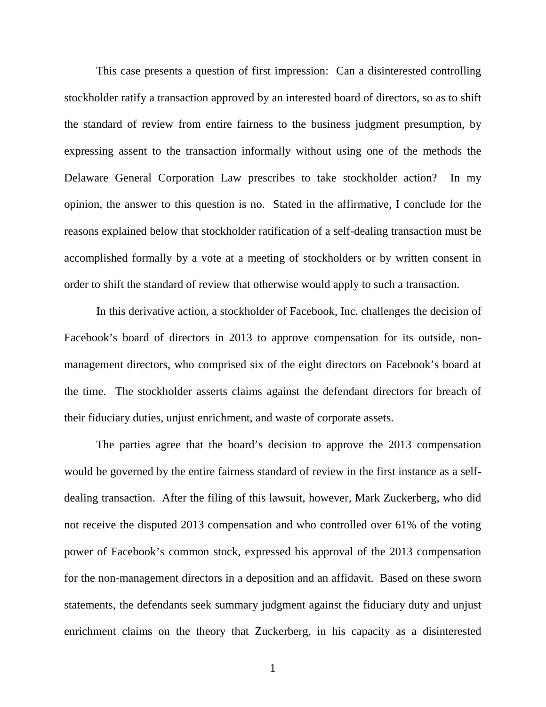This case presents a question of first impression: Can a disinterested controlling stockholder ratify a transaction approved by an interested board of directors, so as to shift the standard of review from entire fairness to the business judgment presumption, by expressing assent to the transaction informally without using one of the methods the Delaware General Corporation Law prescribes to take stockholder action? In my opinion, the answer to this question is no. Stated in the affirmative, I conclude for the reasons explained below that stockholder ratification of a self-dealing transaction must be accomplished formally by a vote at a meeting of stockholders or by written consent in order to shift the standard of review that otherwise would apply to such a transaction.

In this derivative action, a stockholder of Facebook, Inc. challenges the decision of Facebook's board of directors in 2013 to approve compensation for its outside, nonmanagement directors, who comprised six of the eight directors on Facebook's board at the time. The stockholder asserts claims against the defendant directors for breach of their fiduciary duties, unjust enrichment, and waste of corporate assets.

The parties agree that the board's decision to approve the 2013 compensation would be governed by the entire fairness standard of review in the first instance as a selfdealing transaction. After the filing of this lawsuit, however, Mark Zuckerberg, who did not receive the disputed 2013 compensation and who controlled over 61% of the voting power of Facebook's common stock, expressed his approval of the 2013 compensation for the non-management directors in a deposition and an affidavit. Based on these sworn statements, the defendants seek summary judgment against the fiduciary duty and unjust enrichment claims on the theory that Zuckerberg, in his capacity as a disinterested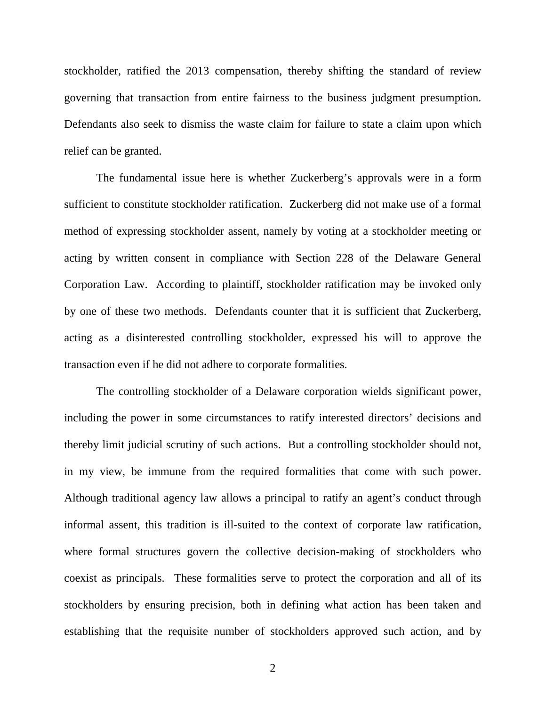stockholder, ratified the 2013 compensation, thereby shifting the standard of review governing that transaction from entire fairness to the business judgment presumption. Defendants also seek to dismiss the waste claim for failure to state a claim upon which relief can be granted.

The fundamental issue here is whether Zuckerberg's approvals were in a form sufficient to constitute stockholder ratification. Zuckerberg did not make use of a formal method of expressing stockholder assent, namely by voting at a stockholder meeting or acting by written consent in compliance with Section 228 of the Delaware General Corporation Law. According to plaintiff, stockholder ratification may be invoked only by one of these two methods. Defendants counter that it is sufficient that Zuckerberg, acting as a disinterested controlling stockholder, expressed his will to approve the transaction even if he did not adhere to corporate formalities.

The controlling stockholder of a Delaware corporation wields significant power, including the power in some circumstances to ratify interested directors' decisions and thereby limit judicial scrutiny of such actions. But a controlling stockholder should not, in my view, be immune from the required formalities that come with such power. Although traditional agency law allows a principal to ratify an agent's conduct through informal assent, this tradition is ill-suited to the context of corporate law ratification, where formal structures govern the collective decision-making of stockholders who coexist as principals. These formalities serve to protect the corporation and all of its stockholders by ensuring precision, both in defining what action has been taken and establishing that the requisite number of stockholders approved such action, and by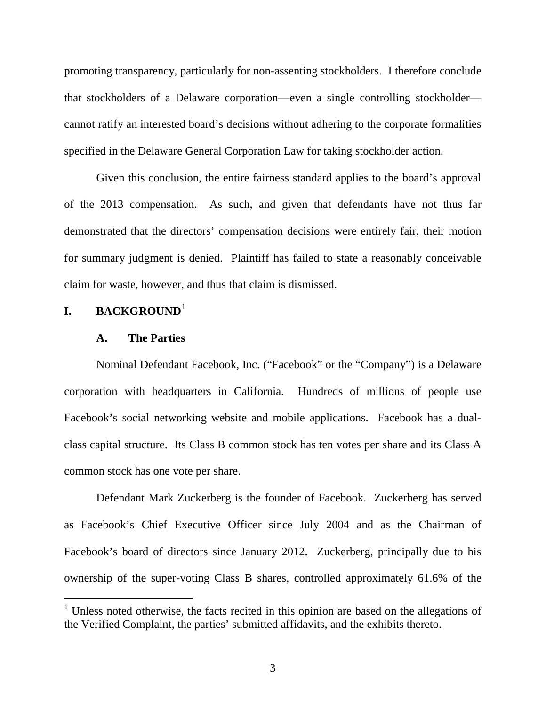promoting transparency, particularly for non-assenting stockholders. I therefore conclude that stockholders of a Delaware corporation—even a single controlling stockholder cannot ratify an interested board's decisions without adhering to the corporate formalities specified in the Delaware General Corporation Law for taking stockholder action.

Given this conclusion, the entire fairness standard applies to the board's approval of the 2013 compensation. As such, and given that defendants have not thus far demonstrated that the directors' compensation decisions were entirely fair, their motion for summary judgment is denied. Plaintiff has failed to state a reasonably conceivable claim for waste, however, and thus that claim is dismissed.

# **I. BACKGROUND**[1](#page-3-0)

 $\overline{a}$ 

#### **A. The Parties**

Nominal Defendant Facebook, Inc. ("Facebook" or the "Company") is a Delaware corporation with headquarters in California. Hundreds of millions of people use Facebook's social networking website and mobile applications. Facebook has a dualclass capital structure. Its Class B common stock has ten votes per share and its Class A common stock has one vote per share.

Defendant Mark Zuckerberg is the founder of Facebook. Zuckerberg has served as Facebook's Chief Executive Officer since July 2004 and as the Chairman of Facebook's board of directors since January 2012. Zuckerberg, principally due to his ownership of the super-voting Class B shares, controlled approximately 61.6% of the

<span id="page-3-0"></span> $1$  Unless noted otherwise, the facts recited in this opinion are based on the allegations of the Verified Complaint, the parties' submitted affidavits, and the exhibits thereto.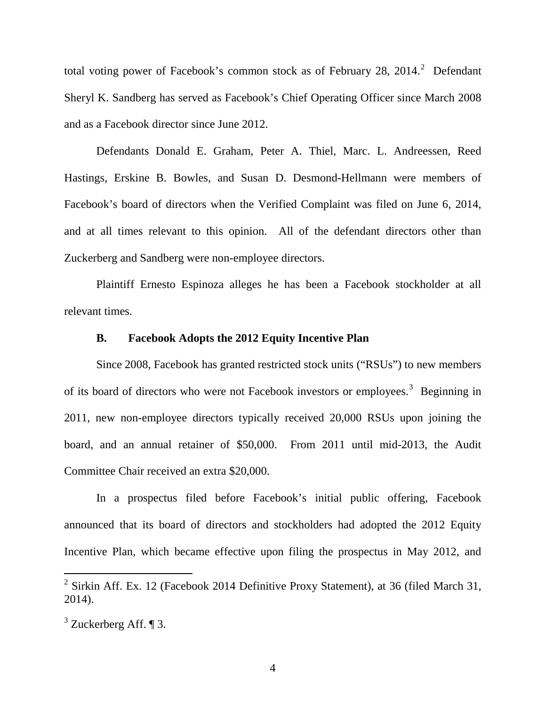total voting power of Facebook's common stock as of February [2](#page-4-0)8, 2014.<sup>2</sup> Defendant Sheryl K. Sandberg has served as Facebook's Chief Operating Officer since March 2008 and as a Facebook director since June 2012.

Defendants Donald E. Graham, Peter A. Thiel, Marc. L. Andreessen, Reed Hastings, Erskine B. Bowles, and Susan D. Desmond-Hellmann were members of Facebook's board of directors when the Verified Complaint was filed on June 6, 2014, and at all times relevant to this opinion. All of the defendant directors other than Zuckerberg and Sandberg were non-employee directors.

Plaintiff Ernesto Espinoza alleges he has been a Facebook stockholder at all relevant times.

### **B. Facebook Adopts the 2012 Equity Incentive Plan**

Since 2008, Facebook has granted restricted stock units ("RSUs") to new members of its board of directors who were not Facebook investors or employees.<sup>[3](#page-4-1)</sup> Beginning in 2011, new non-employee directors typically received 20,000 RSUs upon joining the board, and an annual retainer of \$50,000. From 2011 until mid-2013, the Audit Committee Chair received an extra \$20,000.

In a prospectus filed before Facebook's initial public offering, Facebook announced that its board of directors and stockholders had adopted the 2012 Equity Incentive Plan, which became effective upon filing the prospectus in May 2012, and

<span id="page-4-0"></span> $2$  Sirkin Aff. Ex. 12 (Facebook 2014 Definitive Proxy Statement), at 36 (filed March 31, 2014).

<span id="page-4-1"></span> $3$  Zuckerberg Aff. ¶ 3.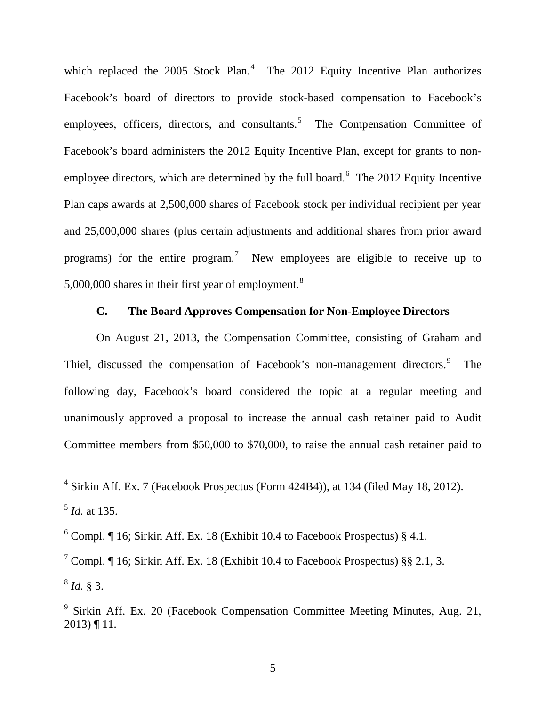which replaced the 2005 Stock Plan.<sup>[4](#page-5-0)</sup> The 2012 Equity Incentive Plan authorizes Facebook's board of directors to provide stock-based compensation to Facebook's employees, officers, directors, and consultants.<sup>[5](#page-5-1)</sup> The Compensation Committee of Facebook's board administers the 2012 Equity Incentive Plan, except for grants to nonemployee directors, which are determined by the full board.  $6$  The 2012 Equity Incentive Plan caps awards at 2,500,000 shares of Facebook stock per individual recipient per year and 25,000,000 shares (plus certain adjustments and additional shares from prior award programs) for the entire program.<sup>[7](#page-5-3)</sup> New employees are eligible to receive up to 5,000,000 shares in their first year of employment. $8$ 

# **C. The Board Approves Compensation for Non-Employee Directors**

On August 21, 2013, the Compensation Committee, consisting of Graham and Thiel, discussed the compensation of Facebook's non-management directors.<sup>[9](#page-5-5)</sup> The following day, Facebook's board considered the topic at a regular meeting and unanimously approved a proposal to increase the annual cash retainer paid to Audit Committee members from \$50,000 to \$70,000, to raise the annual cash retainer paid to

<span id="page-5-2"></span><span id="page-5-1"></span> $6$  Compl.  $\P$  16; Sirkin Aff. Ex. 18 (Exhibit 10.4 to Facebook Prospectus) § 4.1.

 $\overline{a}$ 

<span id="page-5-4"></span><span id="page-5-3"></span><sup>7</sup> Compl. ¶ 16; Sirkin Aff. Ex. 18 (Exhibit 10.4 to Facebook Prospectus) §§ 2.1, 3. <sup>8</sup> *Id.* § 3.

<span id="page-5-0"></span> $4$  Sirkin Aff. Ex. 7 (Facebook Prospectus (Form 424B4)), at 134 (filed May 18, 2012). <sup>5</sup> *Id.* at 135.

<span id="page-5-5"></span><sup>9</sup> Sirkin Aff. Ex. 20 (Facebook Compensation Committee Meeting Minutes, Aug. 21, 2013) ¶ 11.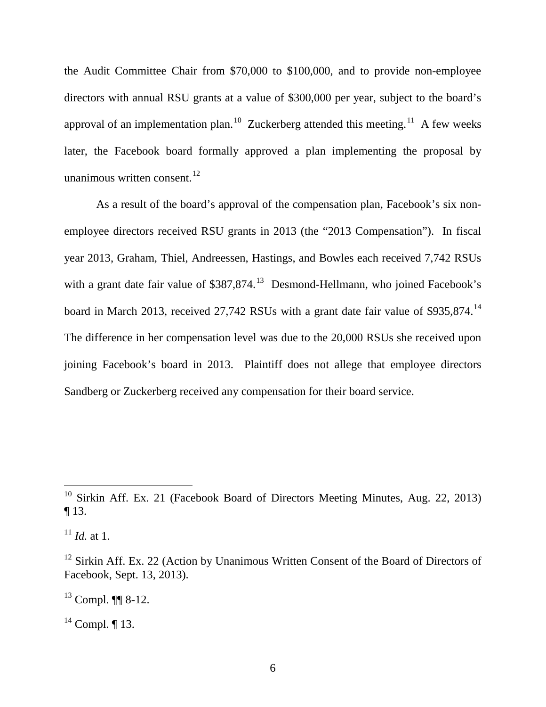the Audit Committee Chair from \$70,000 to \$100,000, and to provide non-employee directors with annual RSU grants at a value of \$300,000 per year, subject to the board's approval of an implementation plan.<sup>10</sup> Zuckerberg attended this meeting.<sup>[11](#page-6-1)</sup> A few weeks later, the Facebook board formally approved a plan implementing the proposal by unanimous written consent. $^{12}$  $^{12}$  $^{12}$ 

As a result of the board's approval of the compensation plan, Facebook's six nonemployee directors received RSU grants in 2013 (the "2013 Compensation"). In fiscal year 2013, Graham, Thiel, Andreessen, Hastings, and Bowles each received 7,742 RSUs with a grant date fair value of  $$387,874$ .<sup>[13](#page-6-3)</sup> Desmond-Hellmann, who joined Facebook's board in March 2013, received 27,742 RSUs with a grant date fair value of \$935,874.[14](#page-6-4) The difference in her compensation level was due to the 20,000 RSUs she received upon joining Facebook's board in 2013. Plaintiff does not allege that employee directors Sandberg or Zuckerberg received any compensation for their board service.

<span id="page-6-0"></span><sup>&</sup>lt;sup>10</sup> Sirkin Aff. Ex. 21 (Facebook Board of Directors Meeting Minutes, Aug. 22, 2013) ¶ 13.

<span id="page-6-1"></span> $^{11}$  *Id.* at 1.

<span id="page-6-2"></span> $12$  Sirkin Aff. Ex. 22 (Action by Unanimous Written Consent of the Board of Directors of Facebook, Sept. 13, 2013).

<span id="page-6-3"></span> $13$  Compl. ¶[ 8-12.

<span id="page-6-4"></span> $14$  Compl. ¶ 13.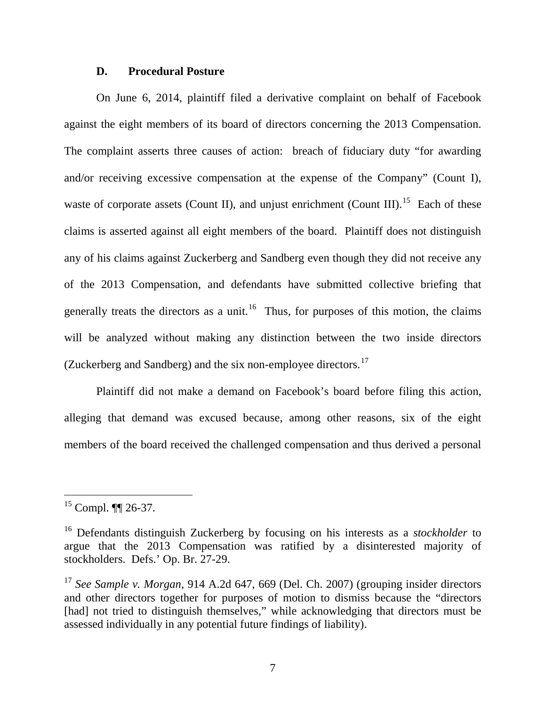#### **D. Procedural Posture**

On June 6, 2014, plaintiff filed a derivative complaint on behalf of Facebook against the eight members of its board of directors concerning the 2013 Compensation. The complaint asserts three causes of action: breach of fiduciary duty "for awarding and/or receiving excessive compensation at the expense of the Company" (Count I), waste of corporate assets (Count II), and unjust enrichment (Count III).<sup>[15](#page-7-0)</sup> Each of these claims is asserted against all eight members of the board. Plaintiff does not distinguish any of his claims against Zuckerberg and Sandberg even though they did not receive any of the 2013 Compensation, and defendants have submitted collective briefing that generally treats the directors as a unit.<sup>16</sup> Thus, for purposes of this motion, the claims will be analyzed without making any distinction between the two inside directors (Zuckerberg and Sandberg) and the six non-employee directors.[17](#page-7-2)

Plaintiff did not make a demand on Facebook's board before filing this action, alleging that demand was excused because, among other reasons, six of the eight members of the board received the challenged compensation and thus derived a personal

<span id="page-7-0"></span><sup>&</sup>lt;sup>15</sup> Compl. ¶¶ 26-37.

<span id="page-7-1"></span><sup>16</sup> Defendants distinguish Zuckerberg by focusing on his interests as a *stockholder* to argue that the 2013 Compensation was ratified by a disinterested majority of stockholders. Defs.' Op. Br. 27-29.

<span id="page-7-2"></span><sup>&</sup>lt;sup>17</sup> See Sample v. Morgan, 914 A.2d 647, 669 (Del. Ch. 2007) (grouping insider directors and other directors together for purposes of motion to dismiss because the "directors [had] not tried to distinguish themselves," while acknowledging that directors must be assessed individually in any potential future findings of liability).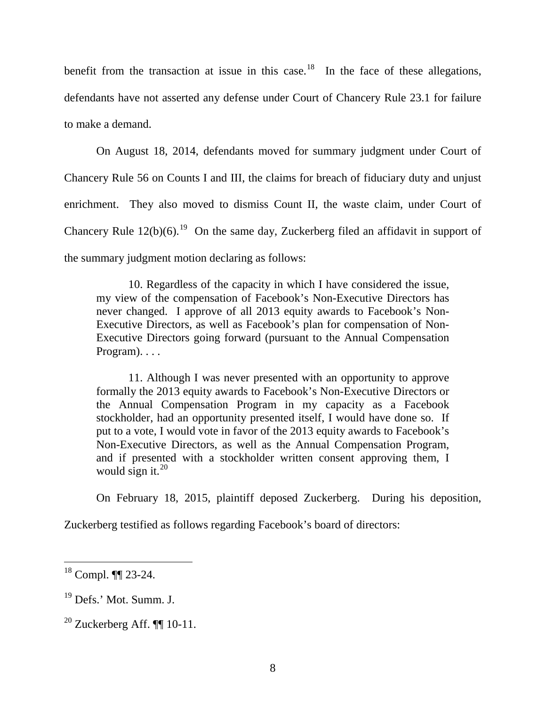benefit from the transaction at issue in this case.<sup>18</sup> In the face of these allegations, defendants have not asserted any defense under Court of Chancery Rule 23.1 for failure to make a demand.

On August 18, 2014, defendants moved for summary judgment under Court of Chancery Rule 56 on Counts I and III, the claims for breach of fiduciary duty and unjust enrichment. They also moved to dismiss Count II, the waste claim, under Court of Chancery Rule  $12(b)(6)$ .<sup>[19](#page-8-1)</sup> On the same day, Zuckerberg filed an affidavit in support of the summary judgment motion declaring as follows:

10. Regardless of the capacity in which I have considered the issue, my view of the compensation of Facebook's Non-Executive Directors has never changed. I approve of all 2013 equity awards to Facebook's Non-Executive Directors, as well as Facebook's plan for compensation of Non-Executive Directors going forward (pursuant to the Annual Compensation Program). . . .

11. Although I was never presented with an opportunity to approve formally the 2013 equity awards to Facebook's Non-Executive Directors or the Annual Compensation Program in my capacity as a Facebook stockholder, had an opportunity presented itself, I would have done so. If put to a vote, I would vote in favor of the 2013 equity awards to Facebook's Non-Executive Directors, as well as the Annual Compensation Program, and if presented with a stockholder written consent approving them, I would sign it. $20$ 

On February 18, 2015, plaintiff deposed Zuckerberg. During his deposition,

Zuckerberg testified as follows regarding Facebook's board of directors:

<span id="page-8-0"></span><sup>18</sup> Compl. ¶¶ 23-24.

<span id="page-8-1"></span><sup>&</sup>lt;sup>19</sup> Defs.' Mot. Summ. J.

<span id="page-8-2"></span> $20$  Zuckerberg Aff. **[1]** 10-11.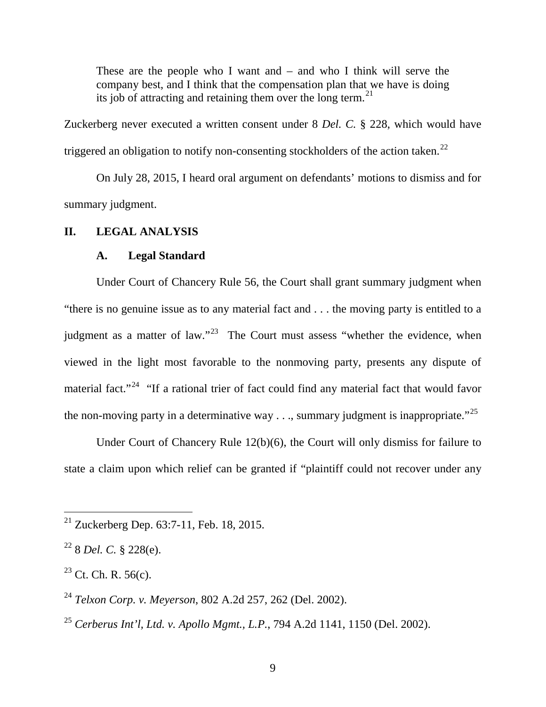These are the people who I want and – and who I think will serve the company best, and I think that the compensation plan that we have is doing its job of attracting and retaining them over the long term.<sup>[21](#page-9-0)</sup>

Zuckerberg never executed a written consent under 8 *Del. C.* § 228, which would have triggered an obligation to notify non-consenting stockholders of the action taken.<sup>[22](#page-9-1)</sup>

On July 28, 2015, I heard oral argument on defendants' motions to dismiss and for summary judgment.

## **II. LEGAL ANALYSIS**

### **A. Legal Standard**

Under Court of Chancery Rule 56, the Court shall grant summary judgment when "there is no genuine issue as to any material fact and . . . the moving party is entitled to a judgment as a matter of law."<sup>23</sup> The Court must assess "whether the evidence, when viewed in the light most favorable to the nonmoving party, presents any dispute of material fact."<sup>[24](#page-9-3)</sup> "If a rational trier of fact could find any material fact that would favor the non-moving party in a determinative way  $\dots$ , summary judgment is inappropriate."<sup>[25](#page-9-4)</sup>

Under Court of Chancery Rule 12(b)(6), the Court will only dismiss for failure to state a claim upon which relief can be granted if "plaintiff could not recover under any

<span id="page-9-0"></span> $21$  Zuckerberg Dep. 63:7-11, Feb. 18, 2015.

<span id="page-9-1"></span><sup>22</sup> 8 *Del. C.* § 228(e).

<span id="page-9-2"></span> $23$  Ct. Ch. R. 56(c).

<span id="page-9-3"></span><sup>24</sup> *Telxon Corp. v. Meyerson*, 802 A.2d 257, 262 (Del. 2002).

<span id="page-9-4"></span><sup>25</sup> *Cerberus Int'l, Ltd. v. Apollo Mgmt., L.P.*, 794 A.2d 1141, 1150 (Del. 2002).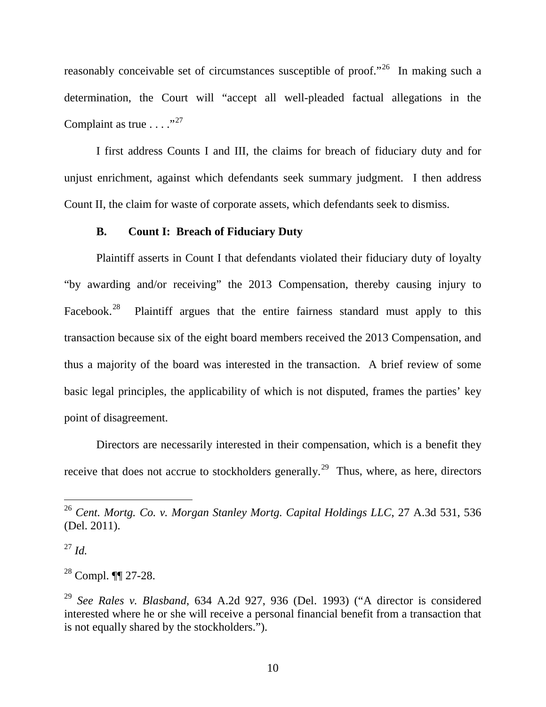reasonably conceivable set of circumstances susceptible of proof."<sup>[26](#page-10-0)</sup> In making such a determination, the Court will "accept all well-pleaded factual allegations in the Complaint as true  $\ldots$ ."<sup>[27](#page-10-1)</sup>

I first address Counts I and III, the claims for breach of fiduciary duty and for unjust enrichment, against which defendants seek summary judgment. I then address Count II, the claim for waste of corporate assets, which defendants seek to dismiss.

## **B. Count I: Breach of Fiduciary Duty**

Plaintiff asserts in Count I that defendants violated their fiduciary duty of loyalty "by awarding and/or receiving" the 2013 Compensation, thereby causing injury to Facebook.<sup>[28](#page-10-2)</sup> Plaintiff argues that the entire fairness standard must apply to this transaction because six of the eight board members received the 2013 Compensation, and thus a majority of the board was interested in the transaction. A brief review of some basic legal principles, the applicability of which is not disputed, frames the parties' key point of disagreement.

Directors are necessarily interested in their compensation, which is a benefit they receive that does not accrue to stockholders generally.<sup>[29](#page-10-3)</sup> Thus, where, as here, directors

<span id="page-10-1"></span><sup>27</sup> *Id.*

 $\overline{a}$ 

<span id="page-10-2"></span><sup>28</sup> Compl. ¶¶ 27-28.

<span id="page-10-0"></span><sup>26</sup> *Cent. Mortg. Co. v. Morgan Stanley Mortg. Capital Holdings LLC*, 27 A.3d 531, 536 (Del. 2011).

<span id="page-10-3"></span><sup>29</sup> *See Rales v. Blasband*, 634 A.2d 927, 936 (Del. 1993) ("A director is considered interested where he or she will receive a personal financial benefit from a transaction that is not equally shared by the stockholders.").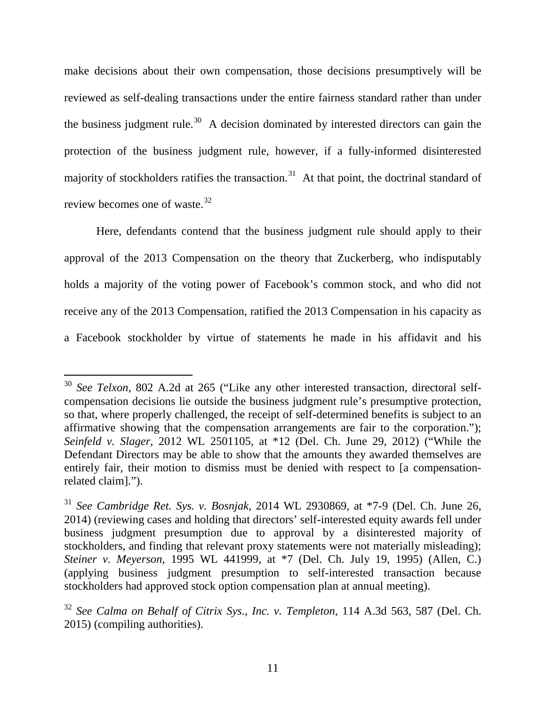make decisions about their own compensation, those decisions presumptively will be reviewed as self-dealing transactions under the entire fairness standard rather than under the business judgment rule.<sup>[30](#page-11-0)</sup> A decision dominated by interested directors can gain the protection of the business judgment rule, however, if a fully-informed disinterested majority of stockholders ratifies the transaction.<sup>[31](#page-11-1)</sup> At that point, the doctrinal standard of review becomes one of waste.[32](#page-11-2)

Here, defendants contend that the business judgment rule should apply to their approval of the 2013 Compensation on the theory that Zuckerberg, who indisputably holds a majority of the voting power of Facebook's common stock, and who did not receive any of the 2013 Compensation, ratified the 2013 Compensation in his capacity as a Facebook stockholder by virtue of statements he made in his affidavit and his

<span id="page-11-0"></span><sup>&</sup>lt;sup>30</sup> *See Telxon*, 802 A.2d at 265 ("Like any other interested transaction, directoral selfcompensation decisions lie outside the business judgment rule's presumptive protection, so that, where properly challenged, the receipt of self-determined benefits is subject to an affirmative showing that the compensation arrangements are fair to the corporation."); *Seinfeld v. Slager*, 2012 WL 2501105, at \*12 (Del. Ch. June 29, 2012) ("While the Defendant Directors may be able to show that the amounts they awarded themselves are entirely fair, their motion to dismiss must be denied with respect to [a compensationrelated claim].").

<span id="page-11-1"></span><sup>31</sup> *See Cambridge Ret. Sys. v. Bosnjak*, 2014 WL 2930869, at \*7-9 (Del. Ch. June 26, 2014) (reviewing cases and holding that directors' self-interested equity awards fell under business judgment presumption due to approval by a disinterested majority of stockholders, and finding that relevant proxy statements were not materially misleading); *Steiner v. Meyerson*, 1995 WL 441999, at \*7 (Del. Ch. July 19, 1995) (Allen, C.) (applying business judgment presumption to self-interested transaction because stockholders had approved stock option compensation plan at annual meeting).

<span id="page-11-2"></span><sup>32</sup> *See Calma on Behalf of Citrix Sys., Inc. v. Templeton*, 114 A.3d 563, 587 (Del. Ch. 2015) (compiling authorities).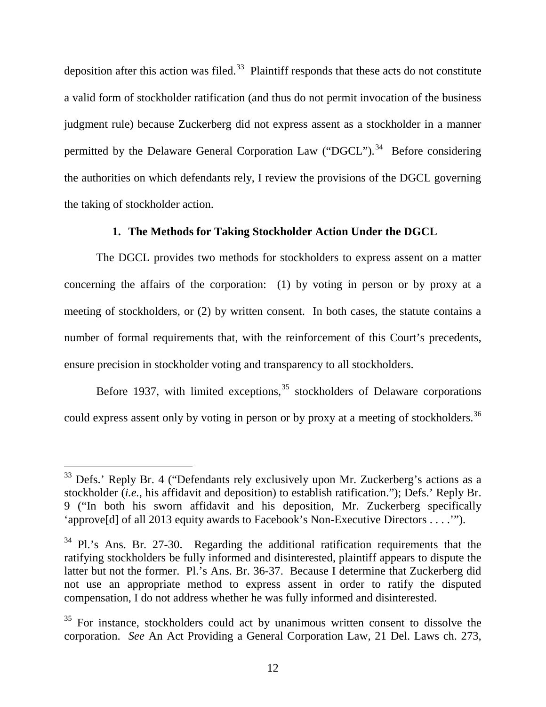deposition after this action was filed.<sup>[33](#page-12-0)</sup> Plaintiff responds that these acts do not constitute a valid form of stockholder ratification (and thus do not permit invocation of the business judgment rule) because Zuckerberg did not express assent as a stockholder in a manner permitted by the Delaware General Corporation Law ("DGCL").<sup>34</sup> Before considering the authorities on which defendants rely, I review the provisions of the DGCL governing the taking of stockholder action.

## **1. The Methods for Taking Stockholder Action Under the DGCL**

The DGCL provides two methods for stockholders to express assent on a matter concerning the affairs of the corporation: (1) by voting in person or by proxy at a meeting of stockholders, or (2) by written consent. In both cases, the statute contains a number of formal requirements that, with the reinforcement of this Court's precedents, ensure precision in stockholder voting and transparency to all stockholders.

<span id="page-12-3"></span>Before 1937, with limited exceptions,  $35$  stockholders of Delaware corporations could express assent only by voting in person or by proxy at a meeting of stockholders.<sup>[36](#page-12-3)</sup>

<span id="page-12-0"></span> $33$  Defs.' Reply Br. 4 ("Defendants rely exclusively upon Mr. Zuckerberg's actions as a stockholder (*i.e.*, his affidavit and deposition) to establish ratification."); Defs.' Reply Br. 9 ("In both his sworn affidavit and his deposition, Mr. Zuckerberg specifically 'approve[d] of all 2013 equity awards to Facebook's Non-Executive Directors . . . .'").

<span id="page-12-1"></span><sup>&</sup>lt;sup>34</sup> Pl.'s Ans. Br. 27-30. Regarding the additional ratification requirements that the ratifying stockholders be fully informed and disinterested, plaintiff appears to dispute the latter but not the former. Pl.'s Ans. Br. 36-37. Because I determine that Zuckerberg did not use an appropriate method to express assent in order to ratify the disputed compensation, I do not address whether he was fully informed and disinterested.

<span id="page-12-2"></span><sup>&</sup>lt;sup>35</sup> For instance, stockholders could act by unanimous written consent to dissolve the corporation. *See* An Act Providing a General Corporation Law, 21 Del. Laws ch. 273,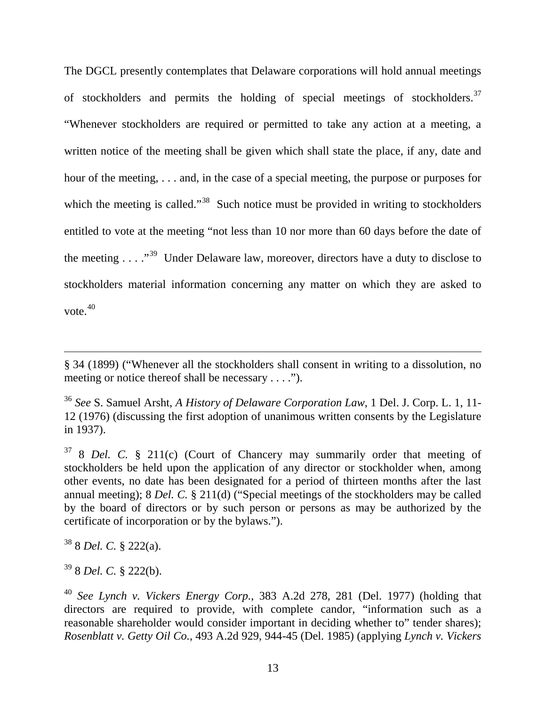The DGCL presently contemplates that Delaware corporations will hold annual meetings of stockholders and permits the holding of special meetings of stockholders.<sup>[37](#page-13-0)</sup> "Whenever stockholders are required or permitted to take any action at a meeting, a written notice of the meeting shall be given which shall state the place, if any, date and hour of the meeting, . . . and, in the case of a special meeting, the purpose or purposes for which the meeting is called."<sup>[38](#page-13-1)</sup> Such notice must be provided in writing to stockholders entitled to vote at the meeting "not less than 10 nor more than 60 days before the date of the meeting  $\ldots$  ."<sup>39</sup> Under Delaware law, moreover, directors have a duty to disclose to stockholders material information concerning any matter on which they are asked to vote.[40](#page-13-3) 

<span id="page-13-1"></span><sup>38</sup> 8 *Del. C.* § 222(a).

 $\overline{a}$ 

<span id="page-13-2"></span><sup>39</sup> 8 *Del. C.* § 222(b).

<sup>§</sup> 34 (1899) ("Whenever all the stockholders shall consent in writing to a dissolution, no meeting or notice thereof shall be necessary . . . .").

<sup>36</sup> *See* S. Samuel Arsht, *A History of Delaware Corporation Law*, 1 Del. J. Corp. L. 1, 11- 12 (1976) (discussing the first adoption of unanimous written consents by the Legislature in 1937).

<span id="page-13-0"></span><sup>37</sup> 8 *Del. C.* § 211(c) (Court of Chancery may summarily order that meeting of stockholders be held upon the application of any director or stockholder when, among other events, no date has been designated for a period of thirteen months after the last annual meeting); 8 *Del. C.* § 211(d) ("Special meetings of the stockholders may be called by the board of directors or by such person or persons as may be authorized by the certificate of incorporation or by the bylaws.").

<span id="page-13-3"></span><sup>40</sup> *See Lynch v. Vickers Energy Corp.*, 383 A.2d 278, 281 (Del. 1977) (holding that directors are required to provide, with complete candor, "information such as a reasonable shareholder would consider important in deciding whether to" tender shares); *Rosenblatt v. Getty Oil Co.*, 493 A.2d 929, 944-45 (Del. 1985) (applying *Lynch v. Vickers*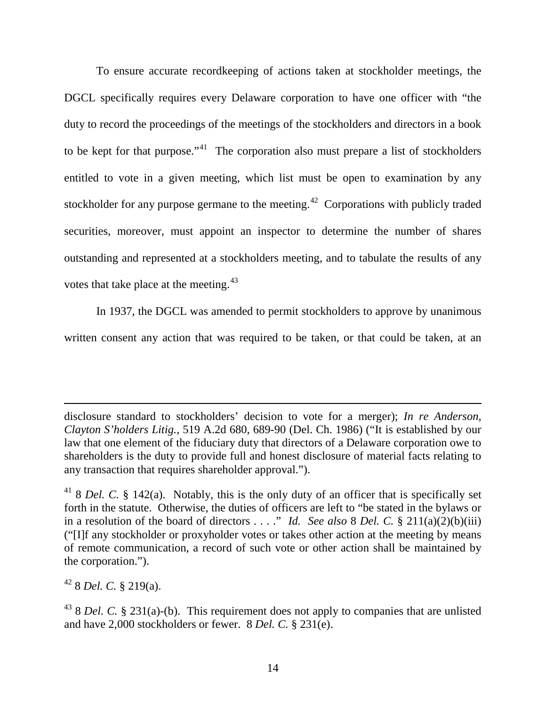To ensure accurate recordkeeping of actions taken at stockholder meetings, the DGCL specifically requires every Delaware corporation to have one officer with "the duty to record the proceedings of the meetings of the stockholders and directors in a book to be kept for that purpose."<sup>41</sup> The corporation also must prepare a list of stockholders entitled to vote in a given meeting, which list must be open to examination by any stockholder for any purpose germane to the meeting.<sup>42</sup> Corporations with publicly traded securities, moreover, must appoint an inspector to determine the number of shares outstanding and represented at a stockholders meeting, and to tabulate the results of any votes that take place at the meeting.<sup>[43](#page-14-2)</sup>

In 1937, the DGCL was amended to permit stockholders to approve by unanimous written consent any action that was required to be taken, or that could be taken, at an

disclosure standard to stockholders' decision to vote for a merger); *In re Anderson, Clayton S'holders Litig.*, 519 A.2d 680, 689-90 (Del. Ch. 1986) ("It is established by our law that one element of the fiduciary duty that directors of a Delaware corporation owe to shareholders is the duty to provide full and honest disclosure of material facts relating to any transaction that requires shareholder approval.").

<span id="page-14-1"></span><sup>42</sup> 8 *Del. C.* § 219(a).

<span id="page-14-0"></span><sup>41</sup> 8 *Del. C.* § 142(a). Notably, this is the only duty of an officer that is specifically set forth in the statute. Otherwise, the duties of officers are left to "be stated in the bylaws or in a resolution of the board of directors . . . ." *Id. See also* 8 *Del. C.* § 211(a)(2)(b)(iii) ("[I]f any stockholder or proxyholder votes or takes other action at the meeting by means of remote communication, a record of such vote or other action shall be maintained by the corporation.").

<span id="page-14-2"></span><sup>43</sup> 8 *Del. C.* § 231(a)-(b). This requirement does not apply to companies that are unlisted and have 2,000 stockholders or fewer. 8 *Del. C.* § 231(e).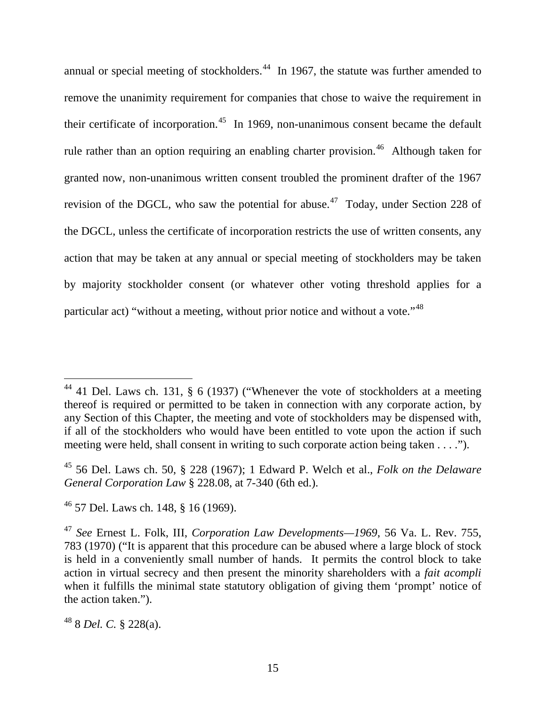annual or special meeting of stockholders.<sup>[44](#page-15-0)</sup> In 1967, the statute was further amended to remove the unanimity requirement for companies that chose to waive the requirement in their certificate of incorporation.<sup>[45](#page-15-1)</sup> In 1969, non-unanimous consent became the default rule rather than an option requiring an enabling charter provision.<sup>46</sup> Although taken for granted now, non-unanimous written consent troubled the prominent drafter of the 1967 revision of the DGCL, who saw the potential for abuse.<sup>[47](#page-15-3)</sup> Today, under Section 228 of the DGCL, unless the certificate of incorporation restricts the use of written consents, any action that may be taken at any annual or special meeting of stockholders may be taken by majority stockholder consent (or whatever other voting threshold applies for a particular act) "without a meeting, without prior notice and without a vote."[48](#page-15-4)

<span id="page-15-4"></span><sup>48</sup> 8 *Del. C.* § 228(a).

<span id="page-15-0"></span> $44$  41 Del. Laws ch. 131, § 6 (1937) ("Whenever the vote of stockholders at a meeting thereof is required or permitted to be taken in connection with any corporate action, by any Section of this Chapter, the meeting and vote of stockholders may be dispensed with, if all of the stockholders who would have been entitled to vote upon the action if such meeting were held, shall consent in writing to such corporate action being taken . . . .").

<span id="page-15-1"></span><sup>45</sup> 56 Del. Laws ch. 50, § 228 (1967); 1 Edward P. Welch et al., *Folk on the Delaware General Corporation Law* § 228.08, at 7-340 (6th ed.).

<span id="page-15-2"></span> $46$  57 Del. Laws ch. 148, § 16 (1969).

<span id="page-15-3"></span><sup>47</sup> *See* Ernest L. Folk, III, *Corporation Law Developments—1969*, 56 Va. L. Rev. 755, 783 (1970) ("It is apparent that this procedure can be abused where a large block of stock is held in a conveniently small number of hands. It permits the control block to take action in virtual secrecy and then present the minority shareholders with a *fait acompli*  when it fulfills the minimal state statutory obligation of giving them 'prompt' notice of the action taken.").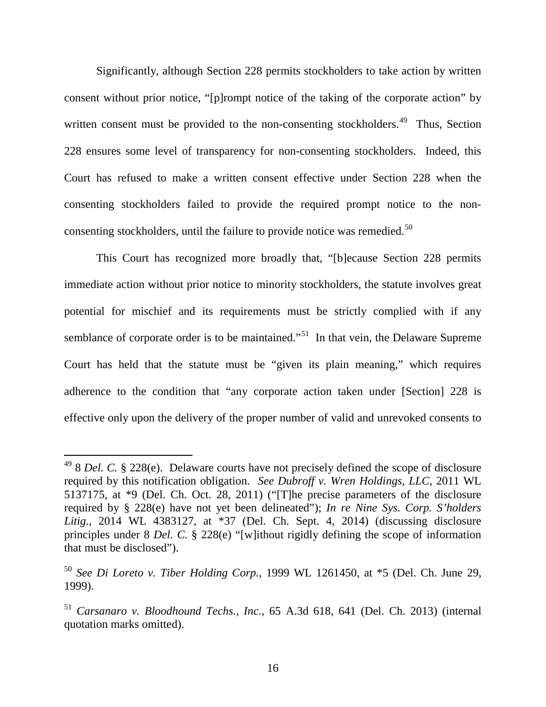Significantly, although Section 228 permits stockholders to take action by written consent without prior notice, "[p]rompt notice of the taking of the corporate action" by written consent must be provided to the non-consenting stockholders.<sup>49</sup> Thus, Section 228 ensures some level of transparency for non-consenting stockholders. Indeed, this Court has refused to make a written consent effective under Section 228 when the consenting stockholders failed to provide the required prompt notice to the nonconsenting stockholders, until the failure to provide notice was remedied.<sup>50</sup>

This Court has recognized more broadly that, "[b]ecause Section 228 permits immediate action without prior notice to minority stockholders, the statute involves great potential for mischief and its requirements must be strictly complied with if any semblance of corporate order is to be maintained."<sup>51</sup> In that vein, the Delaware Supreme Court has held that the statute must be "given its plain meaning," which requires adherence to the condition that "any corporate action taken under [Section] 228 is effective only upon the delivery of the proper number of valid and unrevoked consents to

<span id="page-16-0"></span><sup>49</sup> 8 *Del. C.* § 228(e). Delaware courts have not precisely defined the scope of disclosure required by this notification obligation. *See Dubroff v. Wren Holdings, LLC*, 2011 WL 5137175, at \*9 (Del. Ch. Oct. 28, 2011) ("[T]he precise parameters of the disclosure required by § 228(e) have not yet been delineated"); *In re Nine Sys. Corp. S'holders Litig.*, 2014 WL 4383127, at \*37 (Del. Ch. Sept. 4, 2014) (discussing disclosure principles under 8 *Del. C.* § 228(e) "[w]ithout rigidly defining the scope of information that must be disclosed").

<span id="page-16-1"></span><sup>50</sup> *See Di Loreto v. Tiber Holding Corp.*, 1999 WL 1261450, at \*5 (Del. Ch. June 29, 1999).

<span id="page-16-2"></span><sup>51</sup> *Carsanaro v. Bloodhound Techs., Inc.*, 65 A.3d 618, 641 (Del. Ch. 2013) (internal quotation marks omitted).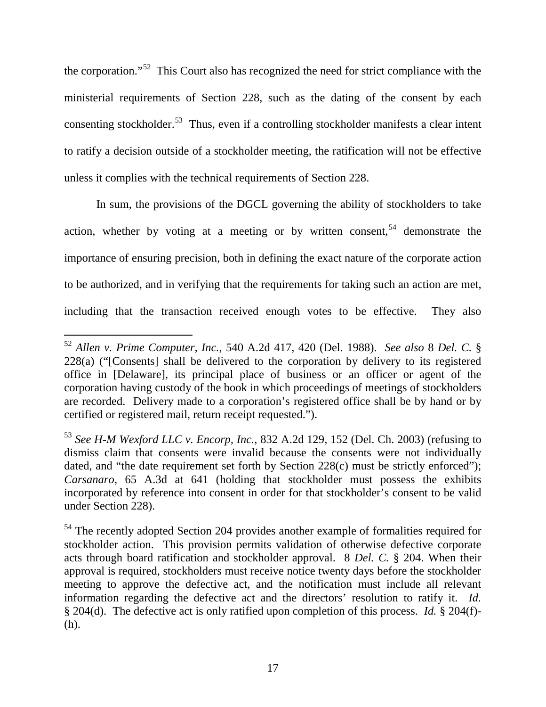the corporation."[52](#page-17-0) This Court also has recognized the need for strict compliance with the ministerial requirements of Section 228, such as the dating of the consent by each consenting stockholder.<sup>53</sup> Thus, even if a controlling stockholder manifests a clear intent to ratify a decision outside of a stockholder meeting, the ratification will not be effective unless it complies with the technical requirements of Section 228.

In sum, the provisions of the DGCL governing the ability of stockholders to take action, whether by voting at a meeting or by written consent,  $54$  demonstrate the importance of ensuring precision, both in defining the exact nature of the corporate action to be authorized, and in verifying that the requirements for taking such an action are met, including that the transaction received enough votes to be effective. They also

<span id="page-17-0"></span><sup>52</sup> *Allen v. Prime Computer, Inc.*, 540 A.2d 417, 420 (Del. 1988). *See also* 8 *Del. C.* § 228(a) ("[Consents] shall be delivered to the corporation by delivery to its registered office in [Delaware], its principal place of business or an officer or agent of the corporation having custody of the book in which proceedings of meetings of stockholders are recorded. Delivery made to a corporation's registered office shall be by hand or by certified or registered mail, return receipt requested.").  $\overline{a}$ 

<span id="page-17-1"></span><sup>53</sup> *See H-M Wexford LLC v. Encorp, Inc.*, 832 A.2d 129, 152 (Del. Ch. 2003) (refusing to dismiss claim that consents were invalid because the consents were not individually dated, and "the date requirement set forth by Section 228(c) must be strictly enforced"); *Carsanaro*, 65 A.3d at 641 (holding that stockholder must possess the exhibits incorporated by reference into consent in order for that stockholder's consent to be valid under Section 228).

<span id="page-17-2"></span><sup>&</sup>lt;sup>54</sup> The recently adopted Section 204 provides another example of formalities required for stockholder action. This provision permits validation of otherwise defective corporate acts through board ratification and stockholder approval. 8 *Del. C.* § 204. When their approval is required, stockholders must receive notice twenty days before the stockholder meeting to approve the defective act, and the notification must include all relevant information regarding the defective act and the directors' resolution to ratify it. *Id.* § 204(d). The defective act is only ratified upon completion of this process. *Id.* § 204(f)- (h).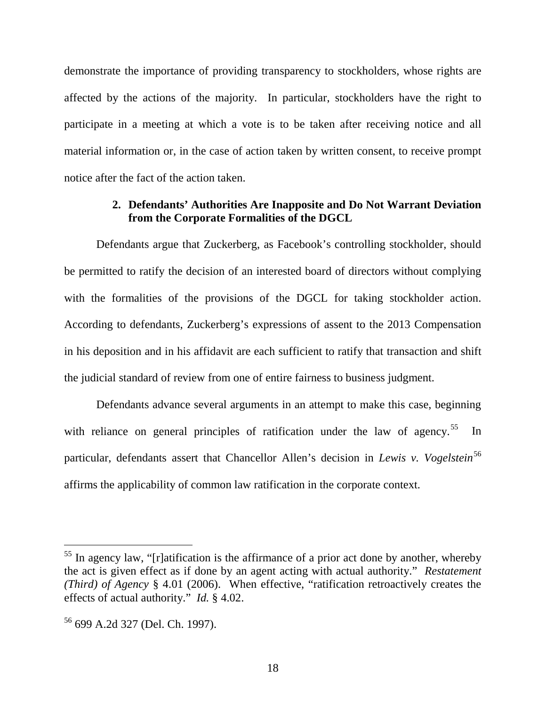demonstrate the importance of providing transparency to stockholders, whose rights are affected by the actions of the majority. In particular, stockholders have the right to participate in a meeting at which a vote is to be taken after receiving notice and all material information or, in the case of action taken by written consent, to receive prompt notice after the fact of the action taken.

### **2. Defendants' Authorities Are Inapposite and Do Not Warrant Deviation from the Corporate Formalities of the DGCL**

Defendants argue that Zuckerberg, as Facebook's controlling stockholder, should be permitted to ratify the decision of an interested board of directors without complying with the formalities of the provisions of the DGCL for taking stockholder action. According to defendants, Zuckerberg's expressions of assent to the 2013 Compensation in his deposition and in his affidavit are each sufficient to ratify that transaction and shift the judicial standard of review from one of entire fairness to business judgment.

Defendants advance several arguments in an attempt to make this case, beginning with reliance on general principles of ratification under the law of agency.<sup>[55](#page-18-0)</sup> In particular, defendants assert that Chancellor Allen's decision in *Lewis v. Vogelstein*<sup>[56](#page-18-1)</sup> affirms the applicability of common law ratification in the corporate context.

<span id="page-18-0"></span> $55$  In agency law, "[r]atification is the affirmance of a prior act done by another, whereby the act is given effect as if done by an agent acting with actual authority." *Restatement (Third) of Agency* § 4.01 (2006). When effective, "ratification retroactively creates the effects of actual authority." *Id.* § 4.02.

<span id="page-18-1"></span><sup>56</sup> 699 A.2d 327 (Del. Ch. 1997).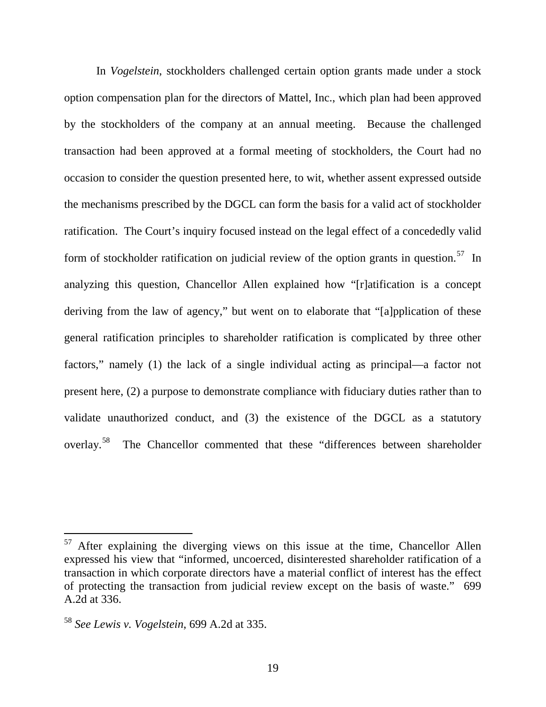In *Vogelstein*, stockholders challenged certain option grants made under a stock option compensation plan for the directors of Mattel, Inc., which plan had been approved by the stockholders of the company at an annual meeting. Because the challenged transaction had been approved at a formal meeting of stockholders, the Court had no occasion to consider the question presented here, to wit, whether assent expressed outside the mechanisms prescribed by the DGCL can form the basis for a valid act of stockholder ratification. The Court's inquiry focused instead on the legal effect of a concededly valid form of stockholder ratification on judicial review of the option grants in question.<sup>[57](#page-19-0)</sup> In analyzing this question, Chancellor Allen explained how "[r]atification is a concept deriving from the law of agency," but went on to elaborate that "[a]pplication of these general ratification principles to shareholder ratification is complicated by three other factors," namely (1) the lack of a single individual acting as principal—a factor not present here, (2) a purpose to demonstrate compliance with fiduciary duties rather than to validate unauthorized conduct, and (3) the existence of the DGCL as a statutory overlay.[58](#page-19-1) The Chancellor commented that these "differences between shareholder

<span id="page-19-0"></span> $57$  After explaining the diverging views on this issue at the time, Chancellor Allen expressed his view that "informed, uncoerced, disinterested shareholder ratification of a transaction in which corporate directors have a material conflict of interest has the effect of protecting the transaction from judicial review except on the basis of waste." 699 A.2d at 336.

<span id="page-19-1"></span><sup>58</sup> *See Lewis v. Vogelstein*, 699 A.2d at 335.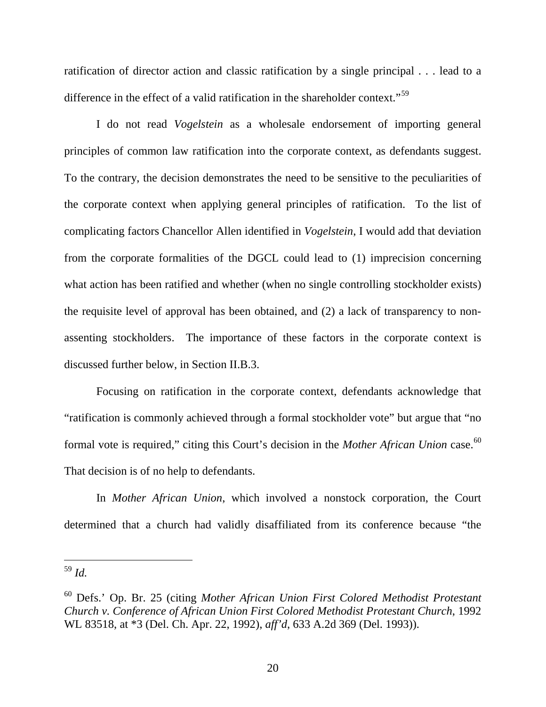ratification of director action and classic ratification by a single principal . . . lead to a difference in the effect of a valid ratification in the shareholder context."<sup>59</sup>

I do not read *Vogelstein* as a wholesale endorsement of importing general principles of common law ratification into the corporate context, as defendants suggest. To the contrary, the decision demonstrates the need to be sensitive to the peculiarities of the corporate context when applying general principles of ratification. To the list of complicating factors Chancellor Allen identified in *Vogelstein*, I would add that deviation from the corporate formalities of the DGCL could lead to (1) imprecision concerning what action has been ratified and whether (when no single controlling stockholder exists) the requisite level of approval has been obtained, and (2) a lack of transparency to nonassenting stockholders. The importance of these factors in the corporate context is discussed further below, in Section II.B.3.

Focusing on ratification in the corporate context, defendants acknowledge that "ratification is commonly achieved through a formal stockholder vote" but argue that "no formal vote is required," citing this Court's decision in the *Mother African Union* case.<sup>[60](#page-20-1)</sup> That decision is of no help to defendants.

In *Mother African Union*, which involved a nonstock corporation, the Court determined that a church had validly disaffiliated from its conference because "the

<span id="page-20-0"></span><sup>59</sup> *Id.*

<span id="page-20-1"></span><sup>60</sup> Defs.' Op. Br. 25 (citing *Mother African Union First Colored Methodist Protestant Church v. Conference of African Union First Colored Methodist Protestant Church*, 1992 WL 83518, at \*3 (Del. Ch. Apr. 22, 1992), *aff'd*, 633 A.2d 369 (Del. 1993)).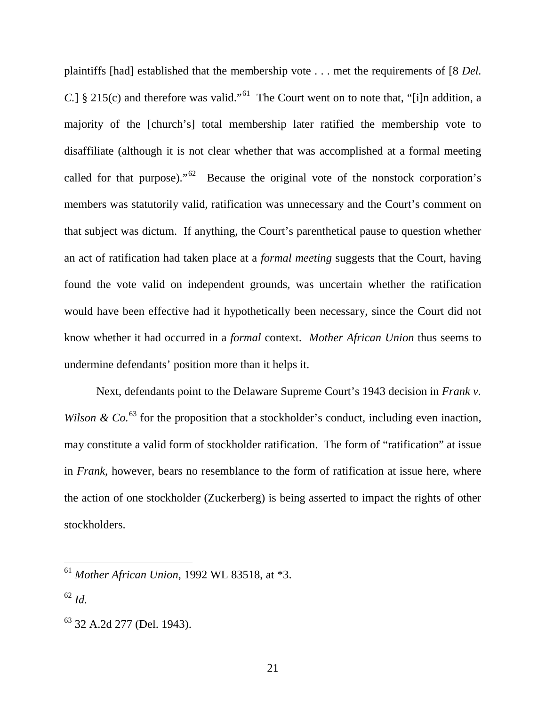plaintiffs [had] established that the membership vote . . . met the requirements of [8 *Del. C.*] § 215(c) and therefore was valid."<sup>61</sup> The Court went on to note that, "[i]n addition, a majority of the [church's] total membership later ratified the membership vote to disaffiliate (although it is not clear whether that was accomplished at a formal meeting called for that purpose)."<sup>62</sup> Because the original vote of the nonstock corporation's members was statutorily valid, ratification was unnecessary and the Court's comment on that subject was dictum. If anything, the Court's parenthetical pause to question whether an act of ratification had taken place at a *formal meeting* suggests that the Court, having found the vote valid on independent grounds, was uncertain whether the ratification would have been effective had it hypothetically been necessary, since the Court did not know whether it had occurred in a *formal* context. *Mother African Union* thus seems to undermine defendants' position more than it helps it.

Next, defendants point to the Delaware Supreme Court's 1943 decision in *Frank v. Wilson & Co.*<sup>[63](#page-21-2)</sup> for the proposition that a stockholder's conduct, including even inaction, may constitute a valid form of stockholder ratification. The form of "ratification" at issue in *Frank*, however, bears no resemblance to the form of ratification at issue here, where the action of one stockholder (Zuckerberg) is being asserted to impact the rights of other stockholders.

<span id="page-21-0"></span><sup>61</sup> *Mother African Union*, 1992 WL 83518, at \*3.

<span id="page-21-1"></span><sup>62</sup> *Id.*

<span id="page-21-2"></span><sup>63</sup> 32 A.2d 277 (Del. 1943).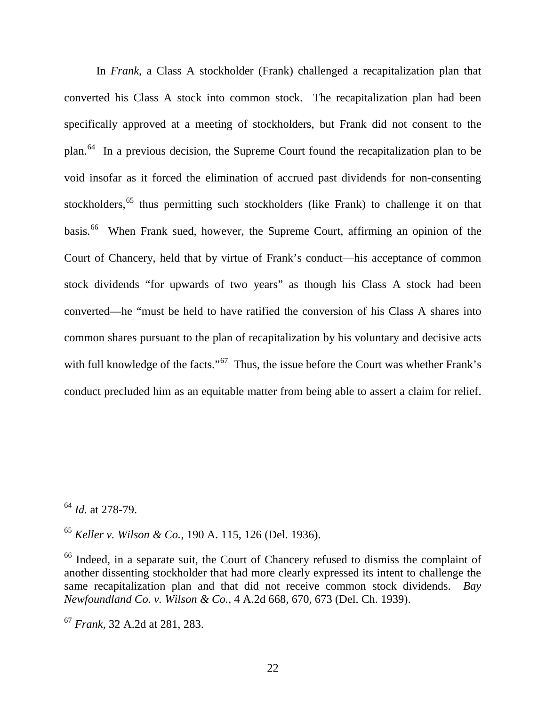In *Frank*, a Class A stockholder (Frank) challenged a recapitalization plan that converted his Class A stock into common stock. The recapitalization plan had been specifically approved at a meeting of stockholders, but Frank did not consent to the plan.[64](#page-22-0) In a previous decision, the Supreme Court found the recapitalization plan to be void insofar as it forced the elimination of accrued past dividends for non-consenting stockholders,<sup>[65](#page-22-1)</sup> thus permitting such stockholders (like Frank) to challenge it on that basis.<sup>[66](#page-22-2)</sup> When Frank sued, however, the Supreme Court, affirming an opinion of the Court of Chancery, held that by virtue of Frank's conduct—his acceptance of common stock dividends "for upwards of two years" as though his Class A stock had been converted—he "must be held to have ratified the conversion of his Class A shares into common shares pursuant to the plan of recapitalization by his voluntary and decisive acts with full knowledge of the facts."<sup>67</sup> Thus, the issue before the Court was whether Frank's conduct precluded him as an equitable matter from being able to assert a claim for relief.

<span id="page-22-0"></span><sup>64</sup> *Id.* at 278-79.

<span id="page-22-1"></span><sup>65</sup> *Keller v. Wilson & Co.*, 190 A. 115, 126 (Del. 1936).

<span id="page-22-2"></span><sup>&</sup>lt;sup>66</sup> Indeed, in a separate suit, the Court of Chancery refused to dismiss the complaint of another dissenting stockholder that had more clearly expressed its intent to challenge the same recapitalization plan and that did not receive common stock dividends. *Bay Newfoundland Co. v. Wilson & Co.*, 4 A.2d 668, 670, 673 (Del. Ch. 1939).

<span id="page-22-3"></span><sup>67</sup> *Frank*, 32 A.2d at 281, 283.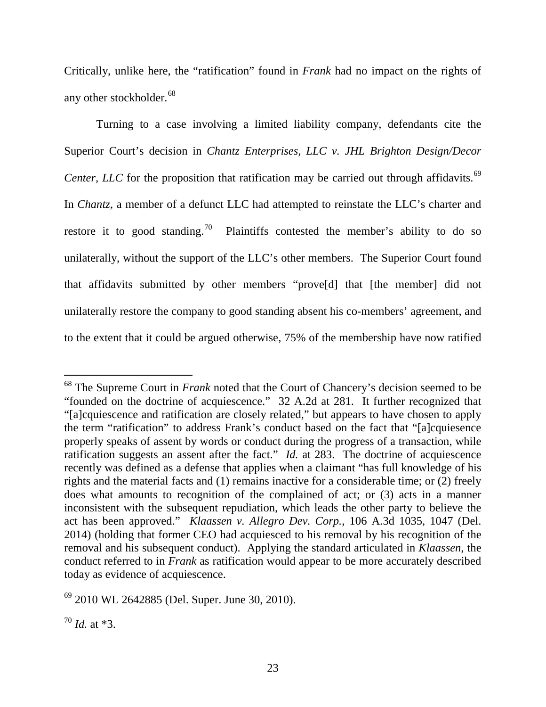Critically, unlike here, the "ratification" found in *Frank* had no impact on the rights of any other stockholder.<sup>[68](#page-23-0)</sup>

Turning to a case involving a limited liability company, defendants cite the Superior Court's decision in *Chantz Enterprises, LLC v. JHL Brighton Design/Decor Center, LLC* for the proposition that ratification may be carried out through affidavits.<sup>[69](#page-23-1)</sup> In *Chantz*, a member of a defunct LLC had attempted to reinstate the LLC's charter and restore it to good standing.<sup>[70](#page-23-2)</sup> Plaintiffs contested the member's ability to do so unilaterally, without the support of the LLC's other members. The Superior Court found that affidavits submitted by other members "prove[d] that [the member] did not unilaterally restore the company to good standing absent his co-members' agreement, and to the extent that it could be argued otherwise, 75% of the membership have now ratified

<span id="page-23-0"></span><sup>68</sup> The Supreme Court in *Frank* noted that the Court of Chancery's decision seemed to be "founded on the doctrine of acquiescence." 32 A.2d at 281. It further recognized that "[a]cquiescence and ratification are closely related," but appears to have chosen to apply the term "ratification" to address Frank's conduct based on the fact that "[a]cquiesence properly speaks of assent by words or conduct during the progress of a transaction, while ratification suggests an assent after the fact." *Id.* at 283. The doctrine of acquiescence recently was defined as a defense that applies when a claimant "has full knowledge of his rights and the material facts and (1) remains inactive for a considerable time; or (2) freely does what amounts to recognition of the complained of act; or (3) acts in a manner inconsistent with the subsequent repudiation, which leads the other party to believe the act has been approved." *Klaassen v. Allegro Dev. Corp.*, 106 A.3d 1035, 1047 (Del. 2014) (holding that former CEO had acquiesced to his removal by his recognition of the removal and his subsequent conduct). Applying the standard articulated in *Klaassen*, the conduct referred to in *Frank* as ratification would appear to be more accurately described today as evidence of acquiescence.

<span id="page-23-1"></span><sup>69</sup> 2010 WL 2642885 (Del. Super. June 30, 2010).

<span id="page-23-2"></span> $70$  *Id.* at \*3.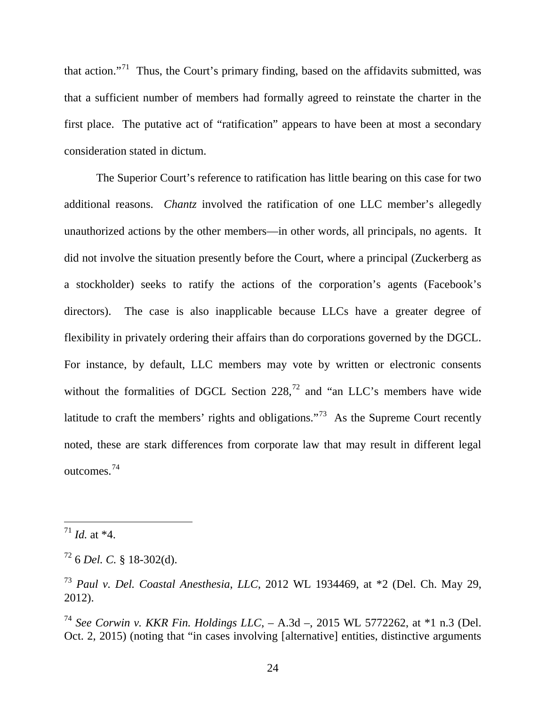that action."[71](#page-24-0) Thus, the Court's primary finding, based on the affidavits submitted, was that a sufficient number of members had formally agreed to reinstate the charter in the first place. The putative act of "ratification" appears to have been at most a secondary consideration stated in dictum.

The Superior Court's reference to ratification has little bearing on this case for two additional reasons. *Chantz* involved the ratification of one LLC member's allegedly unauthorized actions by the other members—in other words, all principals, no agents. It did not involve the situation presently before the Court, where a principal (Zuckerberg as a stockholder) seeks to ratify the actions of the corporation's agents (Facebook's directors). The case is also inapplicable because LLCs have a greater degree of flexibility in privately ordering their affairs than do corporations governed by the DGCL. For instance, by default, LLC members may vote by written or electronic consents without the formalities of DGCL Section  $228$ ,  $72$  and "an LLC's members have wide latitude to craft the members' rights and obligations."<sup>73</sup> As the Supreme Court recently noted, these are stark differences from corporate law that may result in different legal outcomes.[74](#page-24-3)

 $\overline{a}$ 

<span id="page-24-3"></span><sup>74</sup> *See Corwin v. KKR Fin. Holdings LLC*, – A.3d –, 2015 WL 5772262, at \*1 n.3 (Del. Oct. 2, 2015) (noting that "in cases involving [alternative] entities, distinctive arguments

<span id="page-24-0"></span> $17^1$  *Id.* at \*4.

<span id="page-24-1"></span><sup>72</sup> 6 *Del. C.* § 18-302(d).

<span id="page-24-2"></span><sup>73</sup> *Paul v. Del. Coastal Anesthesia*, *LLC*, 2012 WL 1934469, at \*2 (Del. Ch. May 29, 2012).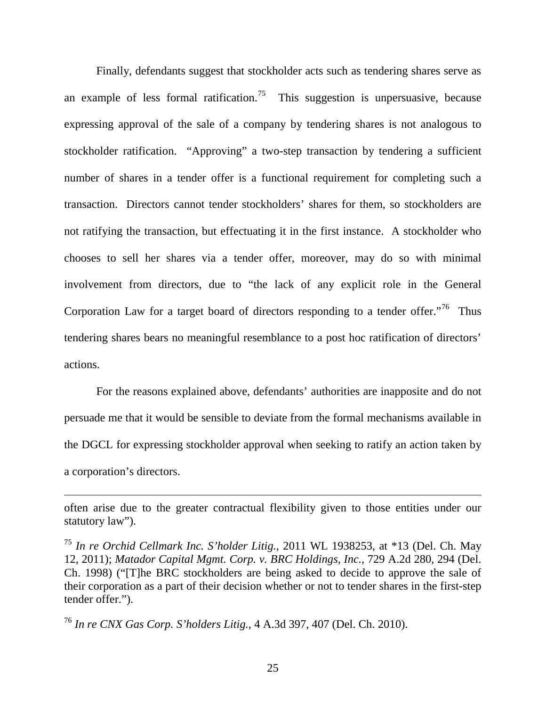Finally, defendants suggest that stockholder acts such as tendering shares serve as an example of less formal ratification.<sup>[75](#page-25-0)</sup> This suggestion is unpersuasive, because expressing approval of the sale of a company by tendering shares is not analogous to stockholder ratification. "Approving" a two-step transaction by tendering a sufficient number of shares in a tender offer is a functional requirement for completing such a transaction. Directors cannot tender stockholders' shares for them, so stockholders are not ratifying the transaction, but effectuating it in the first instance. A stockholder who chooses to sell her shares via a tender offer, moreover, may do so with minimal involvement from directors, due to "the lack of any explicit role in the General Corporation Law for a target board of directors responding to a tender offer.<sup> $,76$  $,76$ </sup> Thus tendering shares bears no meaningful resemblance to a post hoc ratification of directors' actions.

For the reasons explained above, defendants' authorities are inapposite and do not persuade me that it would be sensible to deviate from the formal mechanisms available in the DGCL for expressing stockholder approval when seeking to ratify an action taken by a corporation's directors.

<span id="page-25-1"></span><sup>76</sup> *In re CNX Gas Corp. S'holders Litig.*, 4 A.3d 397, 407 (Del. Ch. 2010).

often arise due to the greater contractual flexibility given to those entities under our statutory law").

<span id="page-25-0"></span><sup>75</sup> *In re Orchid Cellmark Inc. S'holder Litig.*, 2011 WL 1938253, at \*13 (Del. Ch. May 12, 2011); *Matador Capital Mgmt. Corp. v. BRC Holdings, Inc.*, 729 A.2d 280, 294 (Del. Ch. 1998) ("[T]he BRC stockholders are being asked to decide to approve the sale of their corporation as a part of their decision whether or not to tender shares in the first-step tender offer.").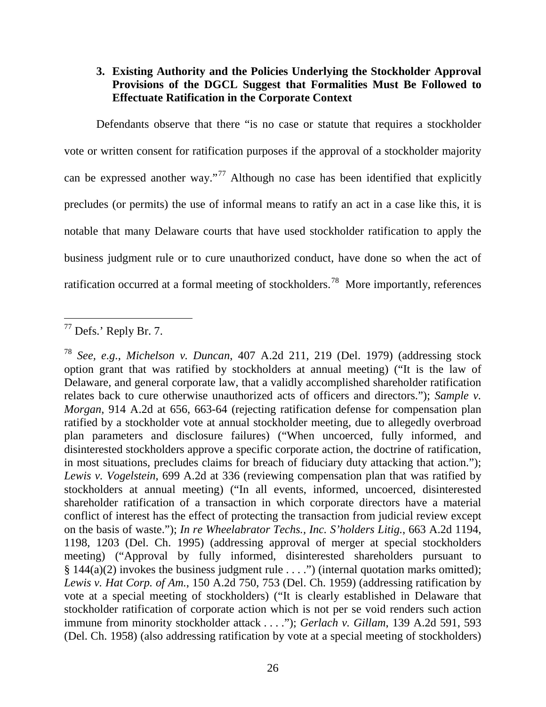# **3. Existing Authority and the Policies Underlying the Stockholder Approval Provisions of the DGCL Suggest that Formalities Must Be Followed to Effectuate Ratification in the Corporate Context**

Defendants observe that there "is no case or statute that requires a stockholder vote or written consent for ratification purposes if the approval of a stockholder majority can be expressed another way."<sup>[77](#page-26-0)</sup> Although no case has been identified that explicitly precludes (or permits) the use of informal means to ratify an act in a case like this, it is notable that many Delaware courts that have used stockholder ratification to apply the business judgment rule or to cure unauthorized conduct, have done so when the act of ratification occurred at a formal meeting of stockholders.<sup>[78](#page-26-1)</sup> More importantly, references

<span id="page-26-0"></span> $77$  Defs.' Reply Br. 7.  $\overline{a}$ 

<span id="page-26-1"></span><sup>78</sup> *See, e.g.*, *Michelson v. Duncan*, 407 A.2d 211, 219 (Del. 1979) (addressing stock option grant that was ratified by stockholders at annual meeting) ("It is the law of Delaware, and general corporate law, that a validly accomplished shareholder ratification relates back to cure otherwise unauthorized acts of officers and directors."); *Sample v. Morgan*, 914 A.2d at 656, 663-64 (rejecting ratification defense for compensation plan ratified by a stockholder vote at annual stockholder meeting, due to allegedly overbroad plan parameters and disclosure failures) ("When uncoerced, fully informed, and disinterested stockholders approve a specific corporate action, the doctrine of ratification, in most situations, precludes claims for breach of fiduciary duty attacking that action."); *Lewis v. Vogelstein*, 699 A.2d at 336 (reviewing compensation plan that was ratified by stockholders at annual meeting) ("In all events, informed, uncoerced, disinterested shareholder ratification of a transaction in which corporate directors have a material conflict of interest has the effect of protecting the transaction from judicial review except on the basis of waste."); *In re Wheelabrator Techs., Inc. S'holders Litig.*, 663 A.2d 1194, 1198, 1203 (Del. Ch. 1995) (addressing approval of merger at special stockholders meeting) ("Approval by fully informed, disinterested shareholders pursuant to  $§ 144(a)(2)$  invokes the business judgment rule . . . .") (internal quotation marks omitted); *Lewis v. Hat Corp. of Am.*, 150 A.2d 750, 753 (Del. Ch. 1959) (addressing ratification by vote at a special meeting of stockholders) ("It is clearly established in Delaware that stockholder ratification of corporate action which is not per se void renders such action immune from minority stockholder attack . . . ."); *Gerlach v. Gillam*, 139 A.2d 591, 593 (Del. Ch. 1958) (also addressing ratification by vote at a special meeting of stockholders)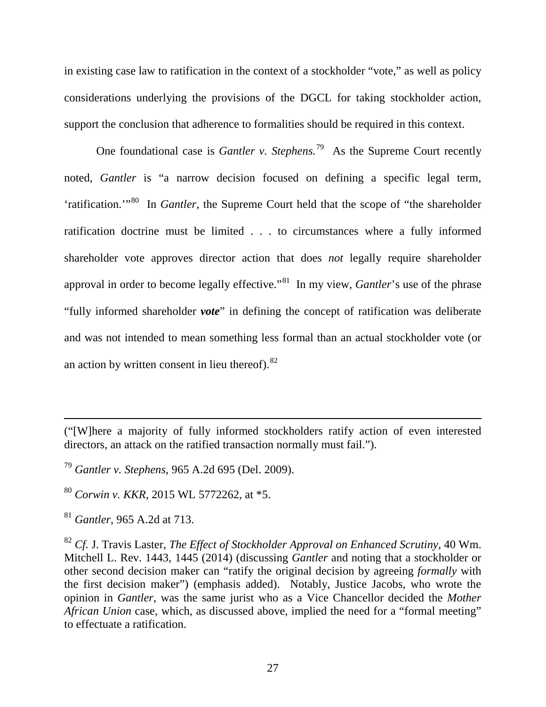in existing case law to ratification in the context of a stockholder "vote," as well as policy considerations underlying the provisions of the DGCL for taking stockholder action, support the conclusion that adherence to formalities should be required in this context.

One foundational case is *Gantler v. Stephens.* [79](#page-27-0) As the Supreme Court recently noted, *Gantler* is "a narrow decision focused on defining a specific legal term, 'ratification.'"[80](#page-27-1) In *Gantler*, the Supreme Court held that the scope of "the shareholder ratification doctrine must be limited . . . to circumstances where a fully informed shareholder vote approves director action that does *not* legally require shareholder approval in order to become legally effective."[81](#page-27-2) In my view, *Gantler*'s use of the phrase "fully informed shareholder *vote*" in defining the concept of ratification was deliberate and was not intended to mean something less formal than an actual stockholder vote (or an action by written consent in lieu thereof). $82$ 

<sup>(&</sup>quot;[W]here a majority of fully informed stockholders ratify action of even interested directors, an attack on the ratified transaction normally must fail.").

<span id="page-27-0"></span><sup>79</sup> *Gantler v. Stephens*, 965 A.2d 695 (Del. 2009).

<span id="page-27-1"></span><sup>80</sup> *Corwin v. KKR*, 2015 WL 5772262, at \*5.

<span id="page-27-2"></span><sup>81</sup> *Gantler*, 965 A.2d at 713.

<span id="page-27-3"></span><sup>82</sup> *Cf.* J. Travis Laster, *The Effect of Stockholder Approval on Enhanced Scrutiny*, 40 Wm. Mitchell L. Rev. 1443, 1445 (2014) (discussing *Gantler* and noting that a stockholder or other second decision maker can "ratify the original decision by agreeing *formally* with the first decision maker") (emphasis added). Notably, Justice Jacobs, who wrote the opinion in *Gantler*, was the same jurist who as a Vice Chancellor decided the *Mother African Union* case, which, as discussed above, implied the need for a "formal meeting" to effectuate a ratification.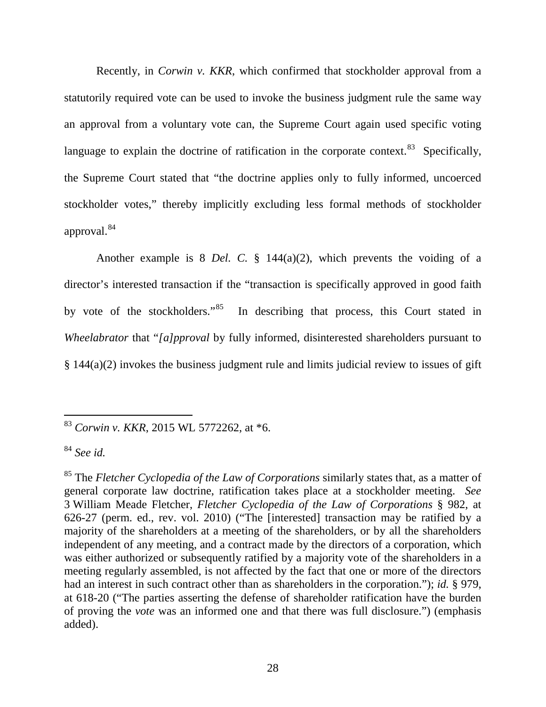Recently, in *Corwin v. KKR*, which confirmed that stockholder approval from a statutorily required vote can be used to invoke the business judgment rule the same way an approval from a voluntary vote can, the Supreme Court again used specific voting language to explain the doctrine of ratification in the corporate context.<sup>83</sup> Specifically, the Supreme Court stated that "the doctrine applies only to fully informed, uncoerced stockholder votes," thereby implicitly excluding less formal methods of stockholder approval.[84](#page-28-1) 

Another example is 8 *Del. C.* § 144(a)(2), which prevents the voiding of a director's interested transaction if the "transaction is specifically approved in good faith by vote of the stockholders."<sup>85</sup> In describing that process, this Court stated in *Wheelabrator* that "*[a]pproval* by fully informed, disinterested shareholders pursuant to § 144(a)(2) invokes the business judgment rule and limits judicial review to issues of gift

<span id="page-28-0"></span><sup>83</sup> *Corwin v. KKR*, 2015 WL 5772262, at \*6.

<span id="page-28-1"></span><sup>84</sup> *See id.*

<span id="page-28-2"></span><sup>85</sup> The *Fletcher Cyclopedia of the Law of Corporations* similarly states that, as a matter of general corporate law doctrine, ratification takes place at a stockholder meeting. *See*  3 William Meade Fletcher, *Fletcher Cyclopedia of the Law of Corporations* § 982, at 626-27 (perm. ed., rev. vol. 2010) ("The [interested] transaction may be ratified by a majority of the shareholders at a meeting of the shareholders, or by all the shareholders independent of any meeting, and a contract made by the directors of a corporation, which was either authorized or subsequently ratified by a majority vote of the shareholders in a meeting regularly assembled, is not affected by the fact that one or more of the directors had an interest in such contract other than as shareholders in the corporation."); *id.* § 979, at 618-20 ("The parties asserting the defense of shareholder ratification have the burden of proving the *vote* was an informed one and that there was full disclosure.") (emphasis added).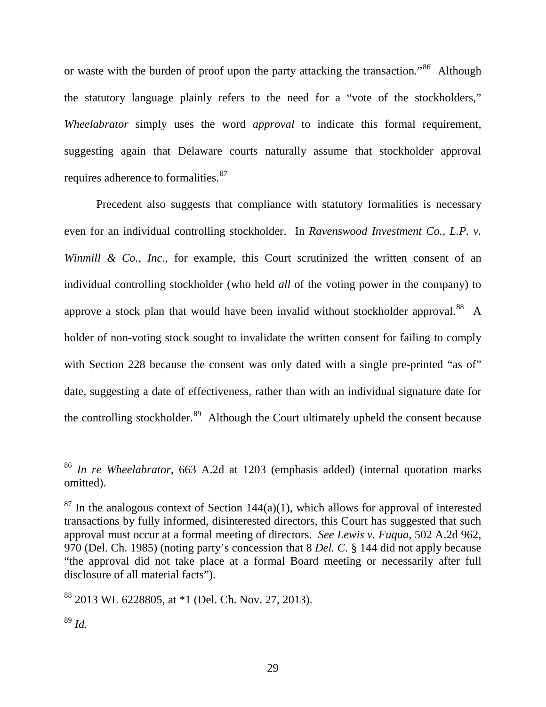or waste with the burden of proof upon the party attacking the transaction."<sup>[86](#page-29-0)</sup> Although the statutory language plainly refers to the need for a "vote of the stockholders," *Wheelabrator* simply uses the word *approval* to indicate this formal requirement, suggesting again that Delaware courts naturally assume that stockholder approval requires adherence to formalities.<sup>[87](#page-29-1)</sup>

Precedent also suggests that compliance with statutory formalities is necessary even for an individual controlling stockholder. In *Ravenswood Investment Co., L.P. v. Winmill & Co., Inc., for example, this Court scrutinized the written consent of an* individual controlling stockholder (who held *all* of the voting power in the company) to approve a stock plan that would have been invalid without stockholder approval.<sup>88</sup> A holder of non-voting stock sought to invalidate the written consent for failing to comply with Section 228 because the consent was only dated with a single pre-printed "as of" date, suggesting a date of effectiveness, rather than with an individual signature date for the controlling stockholder.<sup>89</sup> Although the Court ultimately upheld the consent because

<span id="page-29-0"></span><sup>86</sup> *In re Wheelabrator*, 663 A.2d at 1203 (emphasis added) (internal quotation marks omitted).

<span id="page-29-1"></span> $87$  In the analogous context of Section 144(a)(1), which allows for approval of interested transactions by fully informed, disinterested directors, this Court has suggested that such approval must occur at a formal meeting of directors. *See Lewis v. Fuqua*, 502 A.2d 962, 970 (Del. Ch. 1985) (noting party's concession that 8 *Del. C.* § 144 did not apply because "the approval did not take place at a formal Board meeting or necessarily after full disclosure of all material facts").

<span id="page-29-2"></span><sup>88</sup> 2013 WL 6228805, at \*1 (Del. Ch. Nov. 27, 2013).

<span id="page-29-3"></span><sup>89</sup> *Id.*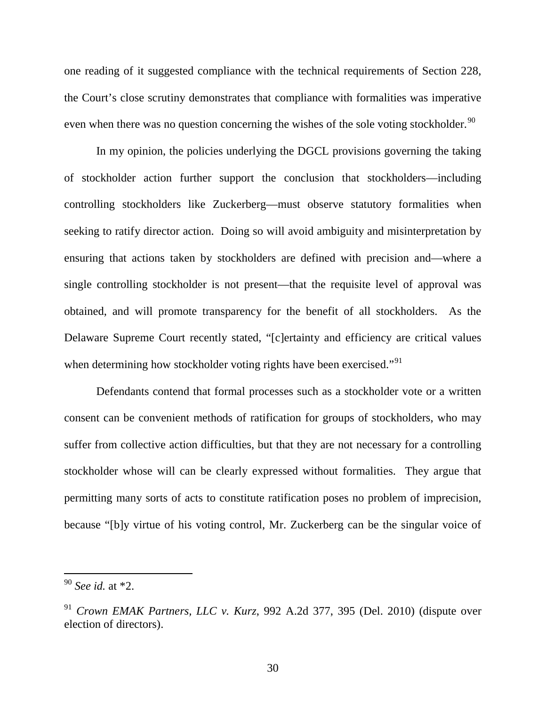one reading of it suggested compliance with the technical requirements of Section 228, the Court's close scrutiny demonstrates that compliance with formalities was imperative even when there was no question concerning the wishes of the sole voting stockholder.<sup>[90](#page-30-0)</sup>

In my opinion, the policies underlying the DGCL provisions governing the taking of stockholder action further support the conclusion that stockholders—including controlling stockholders like Zuckerberg—must observe statutory formalities when seeking to ratify director action. Doing so will avoid ambiguity and misinterpretation by ensuring that actions taken by stockholders are defined with precision and—where a single controlling stockholder is not present—that the requisite level of approval was obtained, and will promote transparency for the benefit of all stockholders. As the Delaware Supreme Court recently stated, "[c]ertainty and efficiency are critical values when determining how stockholder voting rights have been exercised."<sup>[91](#page-30-1)</sup>

Defendants contend that formal processes such as a stockholder vote or a written consent can be convenient methods of ratification for groups of stockholders, who may suffer from collective action difficulties, but that they are not necessary for a controlling stockholder whose will can be clearly expressed without formalities. They argue that permitting many sorts of acts to constitute ratification poses no problem of imprecision, because "[b]y virtue of his voting control, Mr. Zuckerberg can be the singular voice of

<span id="page-30-0"></span><sup>90</sup> *See id.* at \*2.

<span id="page-30-1"></span><sup>91</sup> *Crown EMAK Partners, LLC v. Kurz*, 992 A.2d 377, 395 (Del. 2010) (dispute over election of directors).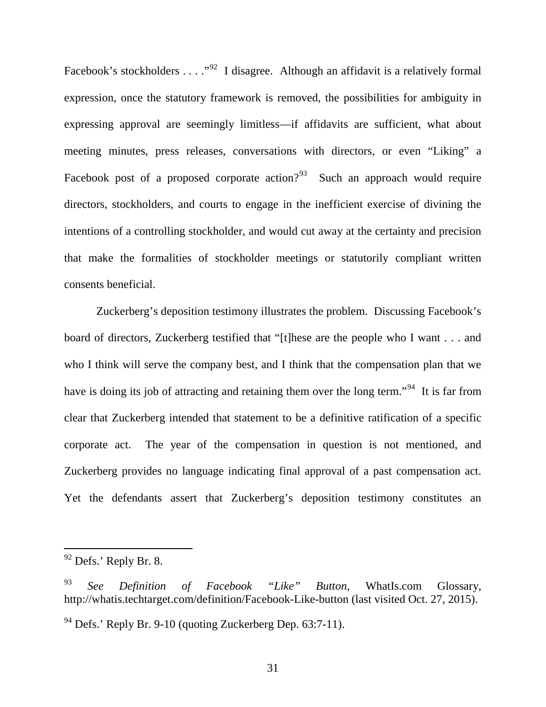Facebook's stockholders . . . ."<sup>92</sup> I disagree. Although an affidavit is a relatively formal expression, once the statutory framework is removed, the possibilities for ambiguity in expressing approval are seemingly limitless—if affidavits are sufficient, what about meeting minutes, press releases, conversations with directors, or even "Liking" a Facebook post of a proposed corporate action? $93$  Such an approach would require directors, stockholders, and courts to engage in the inefficient exercise of divining the intentions of a controlling stockholder, and would cut away at the certainty and precision that make the formalities of stockholder meetings or statutorily compliant written consents beneficial.

Zuckerberg's deposition testimony illustrates the problem. Discussing Facebook's board of directors, Zuckerberg testified that "[t]hese are the people who I want . . . and who I think will serve the company best, and I think that the compensation plan that we have is doing its job of attracting and retaining them over the long term."<sup>94</sup> It is far from clear that Zuckerberg intended that statement to be a definitive ratification of a specific corporate act. The year of the compensation in question is not mentioned, and Zuckerberg provides no language indicating final approval of a past compensation act. Yet the defendants assert that Zuckerberg's deposition testimony constitutes an

<span id="page-31-0"></span> $92$  Defs.' Reply Br. 8.

<span id="page-31-1"></span><sup>93</sup> *See Definition of Facebook "Like" Button*, WhatIs.com Glossary, http://whatis.techtarget.com/definition/Facebook-Like-button (last visited Oct. 27, 2015).

<span id="page-31-2"></span><sup>94</sup> Defs.' Reply Br. 9-10 (quoting Zuckerberg Dep. 63:7-11).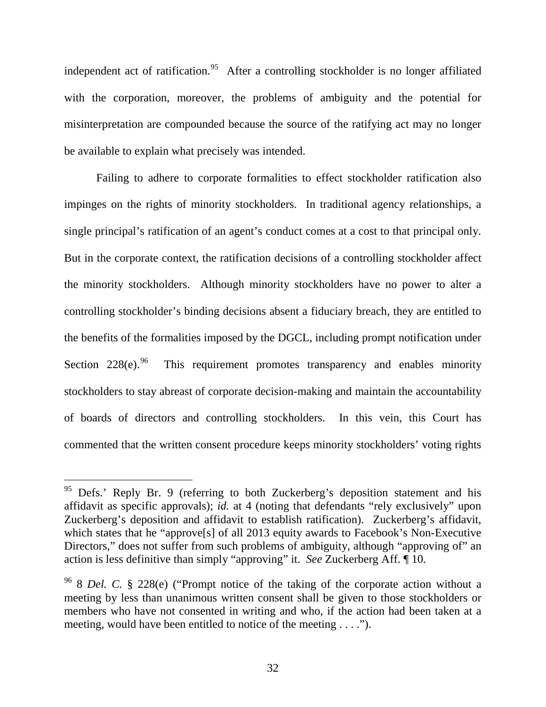independent act of ratification.<sup>[95](#page-32-0)</sup> After a controlling stockholder is no longer affiliated with the corporation, moreover, the problems of ambiguity and the potential for misinterpretation are compounded because the source of the ratifying act may no longer be available to explain what precisely was intended.

Failing to adhere to corporate formalities to effect stockholder ratification also impinges on the rights of minority stockholders. In traditional agency relationships, a single principal's ratification of an agent's conduct comes at a cost to that principal only. But in the corporate context, the ratification decisions of a controlling stockholder affect the minority stockholders. Although minority stockholders have no power to alter a controlling stockholder's binding decisions absent a fiduciary breach, they are entitled to the benefits of the formalities imposed by the DGCL, including prompt notification under Section  $228(e)$ .<sup>[96](#page-32-1)</sup> This requirement promotes transparency and enables minority stockholders to stay abreast of corporate decision-making and maintain the accountability of boards of directors and controlling stockholders. In this vein, this Court has commented that the written consent procedure keeps minority stockholders' voting rights

<span id="page-32-0"></span><sup>&</sup>lt;sup>95</sup> Defs.' Reply Br. 9 (referring to both Zuckerberg's deposition statement and his affidavit as specific approvals); *id.* at 4 (noting that defendants "rely exclusively" upon Zuckerberg's deposition and affidavit to establish ratification). Zuckerberg's affidavit, which states that he "approve<sup>[s]</sup> of all 2013 equity awards to Facebook's Non-Executive Directors," does not suffer from such problems of ambiguity, although "approving of" an action is less definitive than simply "approving" it. *See* Zuckerberg Aff. ¶ 10.

<span id="page-32-1"></span><sup>96</sup> 8 *Del. C.* § 228(e) ("Prompt notice of the taking of the corporate action without a meeting by less than unanimous written consent shall be given to those stockholders or members who have not consented in writing and who, if the action had been taken at a meeting, would have been entitled to notice of the meeting . . . .").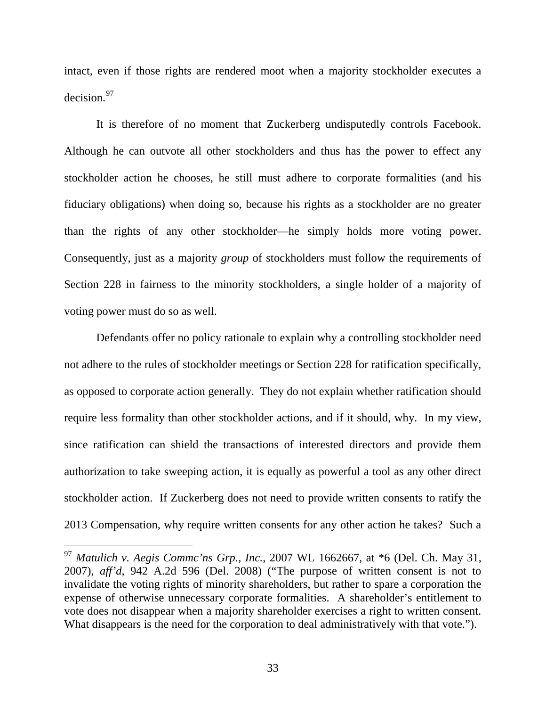intact, even if those rights are rendered moot when a majority stockholder executes a decision.[97](#page-33-0) 

It is therefore of no moment that Zuckerberg undisputedly controls Facebook. Although he can outvote all other stockholders and thus has the power to effect any stockholder action he chooses, he still must adhere to corporate formalities (and his fiduciary obligations) when doing so, because his rights as a stockholder are no greater than the rights of any other stockholder—he simply holds more voting power. Consequently, just as a majority *group* of stockholders must follow the requirements of Section 228 in fairness to the minority stockholders, a single holder of a majority of voting power must do so as well.

Defendants offer no policy rationale to explain why a controlling stockholder need not adhere to the rules of stockholder meetings or Section 228 for ratification specifically, as opposed to corporate action generally. They do not explain whether ratification should require less formality than other stockholder actions, and if it should, why. In my view, since ratification can shield the transactions of interested directors and provide them authorization to take sweeping action, it is equally as powerful a tool as any other direct stockholder action. If Zuckerberg does not need to provide written consents to ratify the 2013 Compensation, why require written consents for any other action he takes? Such a

<span id="page-33-0"></span><sup>97</sup> *Matulich v. Aegis Commc'ns Grp., Inc.*, 2007 WL 1662667, at \*6 (Del. Ch. May 31, 2007), *aff'd*, 942 A.2d 596 (Del. 2008) ("The purpose of written consent is not to invalidate the voting rights of minority shareholders, but rather to spare a corporation the expense of otherwise unnecessary corporate formalities. A shareholder's entitlement to vote does not disappear when a majority shareholder exercises a right to written consent. What disappears is the need for the corporation to deal administratively with that vote.").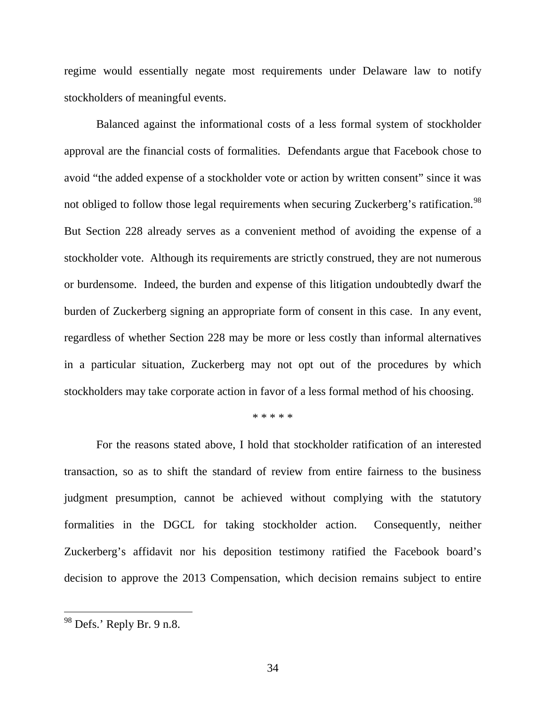regime would essentially negate most requirements under Delaware law to notify stockholders of meaningful events.

Balanced against the informational costs of a less formal system of stockholder approval are the financial costs of formalities. Defendants argue that Facebook chose to avoid "the added expense of a stockholder vote or action by written consent" since it was not obliged to follow those legal requirements when securing Zuckerberg's ratification.<sup>[98](#page-34-0)</sup> But Section 228 already serves as a convenient method of avoiding the expense of a stockholder vote. Although its requirements are strictly construed, they are not numerous or burdensome. Indeed, the burden and expense of this litigation undoubtedly dwarf the burden of Zuckerberg signing an appropriate form of consent in this case. In any event, regardless of whether Section 228 may be more or less costly than informal alternatives in a particular situation, Zuckerberg may not opt out of the procedures by which stockholders may take corporate action in favor of a less formal method of his choosing.

#### \* \* \* \* \*

For the reasons stated above, I hold that stockholder ratification of an interested transaction, so as to shift the standard of review from entire fairness to the business judgment presumption, cannot be achieved without complying with the statutory formalities in the DGCL for taking stockholder action. Consequently, neither Zuckerberg's affidavit nor his deposition testimony ratified the Facebook board's decision to approve the 2013 Compensation, which decision remains subject to entire

<span id="page-34-0"></span> $98$  Defs.' Reply Br. 9 n.8.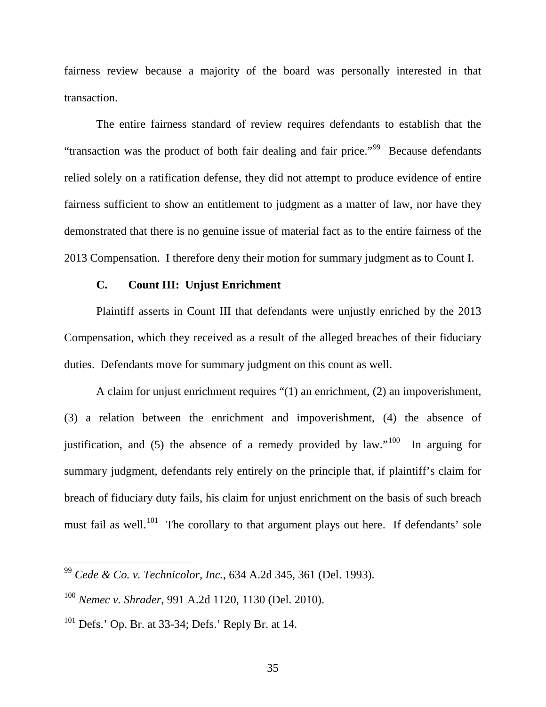fairness review because a majority of the board was personally interested in that transaction.

The entire fairness standard of review requires defendants to establish that the "transaction was the product of both fair dealing and fair price."[99](#page-35-0) Because defendants relied solely on a ratification defense, they did not attempt to produce evidence of entire fairness sufficient to show an entitlement to judgment as a matter of law, nor have they demonstrated that there is no genuine issue of material fact as to the entire fairness of the 2013 Compensation. I therefore deny their motion for summary judgment as to Count I.

### **C. Count III: Unjust Enrichment**

Plaintiff asserts in Count III that defendants were unjustly enriched by the 2013 Compensation, which they received as a result of the alleged breaches of their fiduciary duties. Defendants move for summary judgment on this count as well.

A claim for unjust enrichment requires "(1) an enrichment, (2) an impoverishment, (3) a relation between the enrichment and impoverishment, (4) the absence of justification, and (5) the absence of a remedy provided by law."<sup>100</sup> In arguing for summary judgment, defendants rely entirely on the principle that, if plaintiff's claim for breach of fiduciary duty fails, his claim for unjust enrichment on the basis of such breach must fail as well.<sup>101</sup> The corollary to that argument plays out here. If defendants' sole

<span id="page-35-0"></span><sup>99</sup> *Cede & Co. v. Technicolor, Inc.*, 634 A.2d 345, 361 (Del. 1993).

<span id="page-35-1"></span><sup>100</sup> *Nemec v. Shrader*, 991 A.2d 1120, 1130 (Del. 2010).

<span id="page-35-2"></span> $101$  Defs.' Op. Br. at 33-34; Defs.' Reply Br. at 14.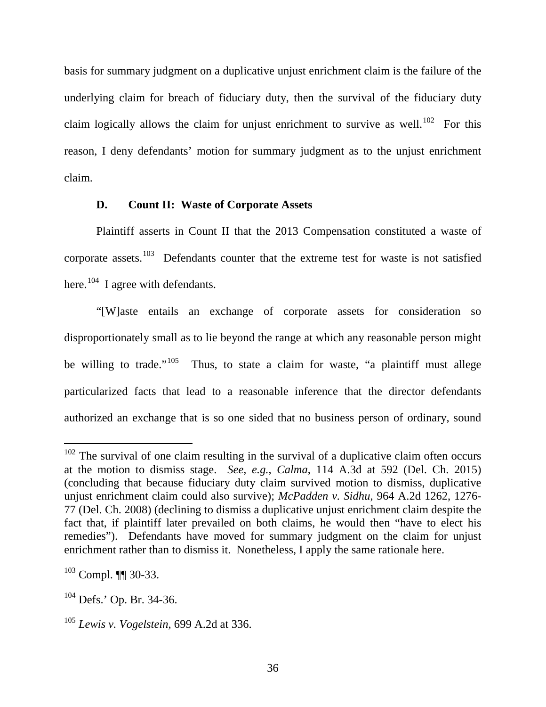basis for summary judgment on a duplicative unjust enrichment claim is the failure of the underlying claim for breach of fiduciary duty, then the survival of the fiduciary duty claim logically allows the claim for unjust enrichment to survive as well.<sup>[102](#page-36-0)</sup> For this reason, I deny defendants' motion for summary judgment as to the unjust enrichment claim.

### **D. Count II: Waste of Corporate Assets**

Plaintiff asserts in Count II that the 2013 Compensation constituted a waste of corporate assets.<sup>[103](#page-36-1)</sup> Defendants counter that the extreme test for waste is not satisfied here.<sup>[104](#page-36-2)</sup> I agree with defendants.

"[W]aste entails an exchange of corporate assets for consideration so disproportionately small as to lie beyond the range at which any reasonable person might be willing to trade."<sup>105</sup> Thus, to state a claim for waste, "a plaintiff must allege particularized facts that lead to a reasonable inference that the director defendants authorized an exchange that is so one sided that no business person of ordinary, sound

<span id="page-36-0"></span> $102$  The survival of one claim resulting in the survival of a duplicative claim often occurs at the motion to dismiss stage. *See, e.g.*, *Calma*, 114 A.3d at 592 (Del. Ch. 2015) (concluding that because fiduciary duty claim survived motion to dismiss, duplicative unjust enrichment claim could also survive); *McPadden v. Sidhu*, 964 A.2d 1262, 1276- 77 (Del. Ch. 2008) (declining to dismiss a duplicative unjust enrichment claim despite the fact that, if plaintiff later prevailed on both claims, he would then "have to elect his remedies"). Defendants have moved for summary judgment on the claim for unjust enrichment rather than to dismiss it. Nonetheless, I apply the same rationale here.

<span id="page-36-1"></span> $103$  Compl.  $\P$  30-33.

<span id="page-36-2"></span><sup>104</sup> Defs.' Op. Br. 34-36.

<span id="page-36-3"></span><sup>105</sup> *Lewis v. Vogelstein*, 699 A.2d at 336.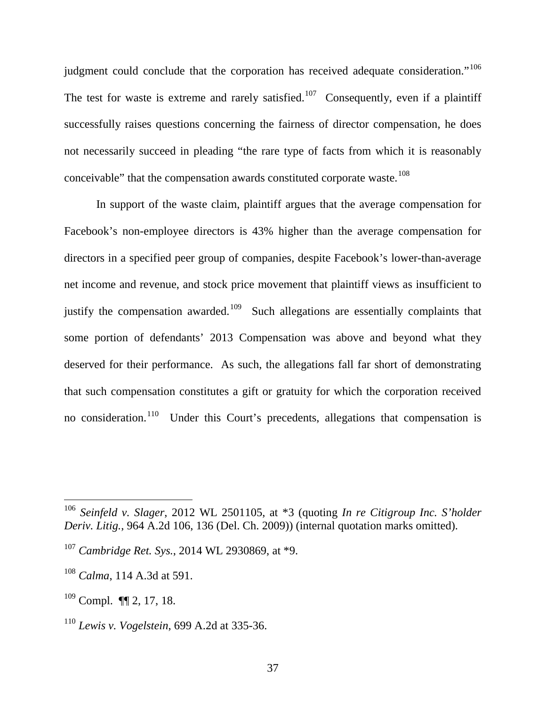judgment could conclude that the corporation has received adequate consideration."<sup>[106](#page-37-0)</sup> The test for waste is extreme and rarely satisfied.<sup>[107](#page-37-1)</sup> Consequently, even if a plaintiff successfully raises questions concerning the fairness of director compensation, he does not necessarily succeed in pleading "the rare type of facts from which it is reasonably conceivable" that the compensation awards constituted corporate waste.<sup>[108](#page-37-2)</sup>

In support of the waste claim, plaintiff argues that the average compensation for Facebook's non-employee directors is 43% higher than the average compensation for directors in a specified peer group of companies, despite Facebook's lower-than-average net income and revenue, and stock price movement that plaintiff views as insufficient to justify the compensation awarded.<sup>[109](#page-37-3)</sup> Such allegations are essentially complaints that some portion of defendants' 2013 Compensation was above and beyond what they deserved for their performance. As such, the allegations fall far short of demonstrating that such compensation constitutes a gift or gratuity for which the corporation received no consideration.<sup>[110](#page-37-4)</sup> Under this Court's precedents, allegations that compensation is

<span id="page-37-0"></span><sup>106</sup> *Seinfeld v. Slager*, 2012 WL 2501105, at \*3 (quoting *In re Citigroup Inc. S'holder Deriv. Litig.*, 964 A.2d 106, 136 (Del. Ch. 2009)) (internal quotation marks omitted).

<span id="page-37-1"></span><sup>107</sup> *Cambridge Ret. Sys.*, 2014 WL 2930869, at \*9.

<span id="page-37-2"></span><sup>108</sup> *Calma*, 114 A.3d at 591.

<span id="page-37-3"></span><sup>109</sup> Compl. ¶¶ 2, 17, 18.

<span id="page-37-4"></span><sup>110</sup> *Lewis v. Vogelstein*, 699 A.2d at 335-36.